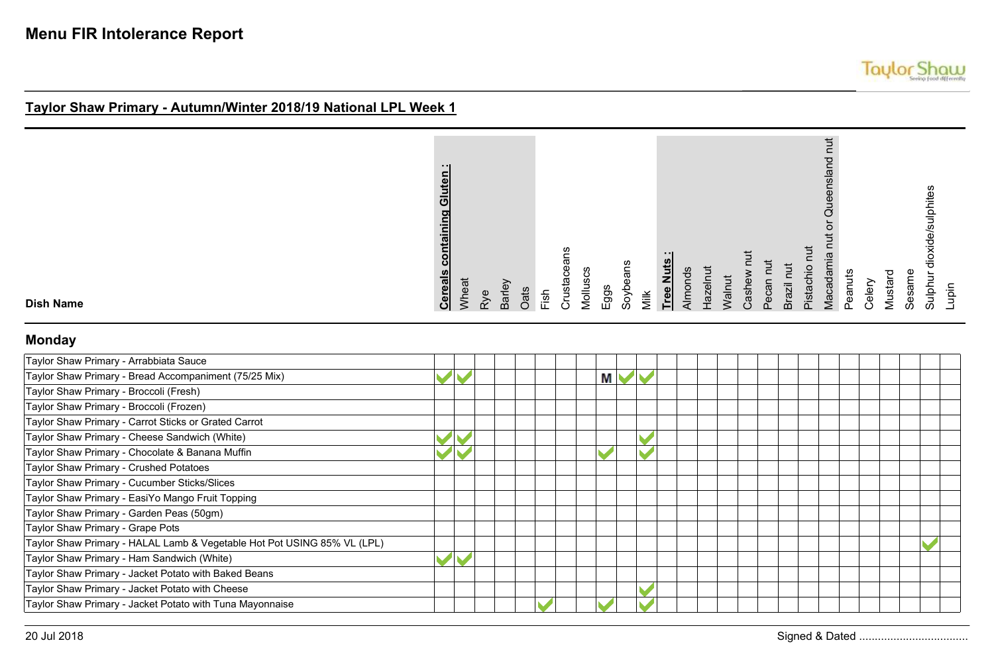| Sulphur dioxide/sulphites<br>Sesame |
|-------------------------------------|
| Lupin                               |

**Dish Name**

### **Monday**

| Taylor Shaw Primary - Arrabbiata Sauce                                  |  |  |   |  |  |  |  |  |  |  |
|-------------------------------------------------------------------------|--|--|---|--|--|--|--|--|--|--|
| Taylor Shaw Primary - Bread Accompaniment (75/25 Mix)                   |  |  | М |  |  |  |  |  |  |  |
| Taylor Shaw Primary - Broccoli (Fresh)                                  |  |  |   |  |  |  |  |  |  |  |
| Taylor Shaw Primary - Broccoli (Frozen)                                 |  |  |   |  |  |  |  |  |  |  |
| Taylor Shaw Primary - Carrot Sticks or Grated Carrot                    |  |  |   |  |  |  |  |  |  |  |
| Taylor Shaw Primary - Cheese Sandwich (White)                           |  |  |   |  |  |  |  |  |  |  |
| Taylor Shaw Primary - Chocolate & Banana Muffin                         |  |  |   |  |  |  |  |  |  |  |
| Taylor Shaw Primary - Crushed Potatoes                                  |  |  |   |  |  |  |  |  |  |  |
| Taylor Shaw Primary - Cucumber Sticks/Slices                            |  |  |   |  |  |  |  |  |  |  |
| Taylor Shaw Primary - EasiYo Mango Fruit Topping                        |  |  |   |  |  |  |  |  |  |  |
| Taylor Shaw Primary - Garden Peas (50gm)                                |  |  |   |  |  |  |  |  |  |  |
| Taylor Shaw Primary - Grape Pots                                        |  |  |   |  |  |  |  |  |  |  |
| Taylor Shaw Primary - HALAL Lamb & Vegetable Hot Pot USING 85% VL (LPL) |  |  |   |  |  |  |  |  |  |  |
| Taylor Shaw Primary - Ham Sandwich (White)                              |  |  |   |  |  |  |  |  |  |  |
| Taylor Shaw Primary - Jacket Potato with Baked Beans                    |  |  |   |  |  |  |  |  |  |  |
| Taylor Shaw Primary - Jacket Potato with Cheese                         |  |  |   |  |  |  |  |  |  |  |
| Taylor Shaw Primary - Jacket Potato with Tuna Mayonnaise                |  |  |   |  |  |  |  |  |  |  |

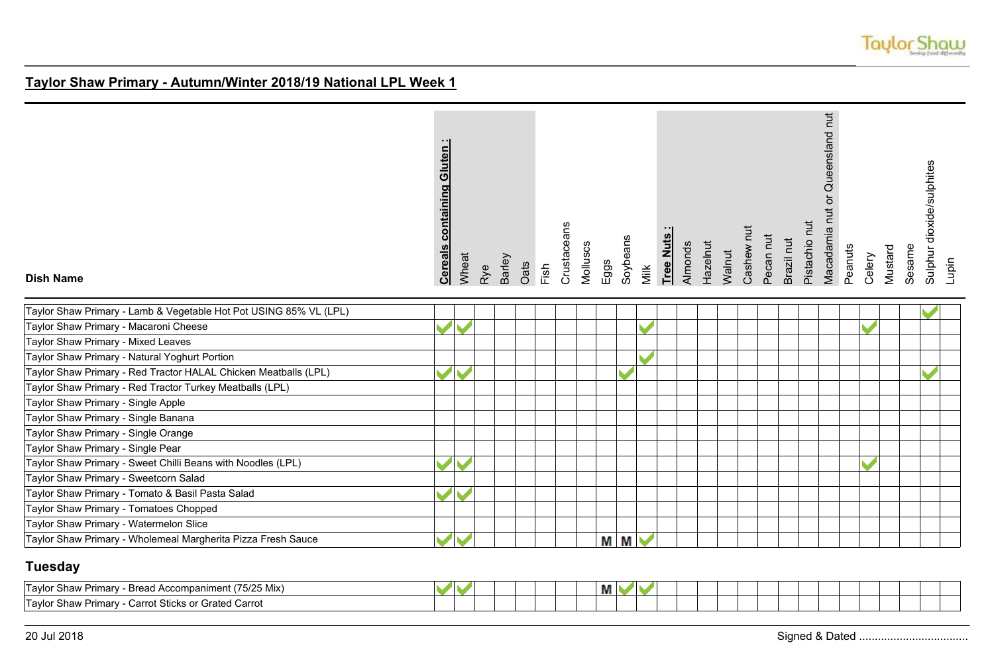

| <b>Dish Name</b>                                                  | <b>containing Gluten</b><br><b>Cereals</b> | Wheat | Rye | Barley | Oats | Fish | Crustaceans | Molluscs | Eggs | Soybeans | Milk | Tree Nuts | Almonds | Hazelnut | Walnut | Cashew nut | Pecan nut | Brazil nut | Pistachio nut | Macadamia nut or Queensland nut | Peanuts | Celery | Mustard | Sesame | Sulphur dioxide/sulphites<br>Lupin |
|-------------------------------------------------------------------|--------------------------------------------|-------|-----|--------|------|------|-------------|----------|------|----------|------|-----------|---------|----------|--------|------------|-----------|------------|---------------|---------------------------------|---------|--------|---------|--------|------------------------------------|
| Taylor Shaw Primary - Lamb & Vegetable Hot Pot USING 85% VL (LPL) |                                            |       |     |        |      |      |             |          |      |          |      |           |         |          |        |            |           |            |               |                                 |         |        |         |        |                                    |
| Taylor Shaw Primary - Macaroni Cheese                             |                                            |       |     |        |      |      |             |          |      |          |      |           |         |          |        |            |           |            |               |                                 |         |        |         |        |                                    |
| Taylor Shaw Primary - Mixed Leaves                                |                                            |       |     |        |      |      |             |          |      |          |      |           |         |          |        |            |           |            |               |                                 |         |        |         |        |                                    |
| Taylor Shaw Primary - Natural Yoghurt Portion                     |                                            |       |     |        |      |      |             |          |      |          |      |           |         |          |        |            |           |            |               |                                 |         |        |         |        |                                    |
| Taylor Shaw Primary - Red Tractor HALAL Chicken Meatballs (LPL)   |                                            |       |     |        |      |      |             |          |      |          |      |           |         |          |        |            |           |            |               |                                 |         |        |         |        |                                    |
| Taylor Shaw Primary - Red Tractor Turkey Meatballs (LPL)          |                                            |       |     |        |      |      |             |          |      |          |      |           |         |          |        |            |           |            |               |                                 |         |        |         |        |                                    |
| Taylor Shaw Primary - Single Apple                                |                                            |       |     |        |      |      |             |          |      |          |      |           |         |          |        |            |           |            |               |                                 |         |        |         |        |                                    |
| Taylor Shaw Primary - Single Banana                               |                                            |       |     |        |      |      |             |          |      |          |      |           |         |          |        |            |           |            |               |                                 |         |        |         |        |                                    |
| Taylor Shaw Primary - Single Orange                               |                                            |       |     |        |      |      |             |          |      |          |      |           |         |          |        |            |           |            |               |                                 |         |        |         |        |                                    |
| Taylor Shaw Primary - Single Pear                                 |                                            |       |     |        |      |      |             |          |      |          |      |           |         |          |        |            |           |            |               |                                 |         |        |         |        |                                    |
| Taylor Shaw Primary - Sweet Chilli Beans with Noodles (LPL)       |                                            |       |     |        |      |      |             |          |      |          |      |           |         |          |        |            |           |            |               |                                 |         |        |         |        |                                    |
| Taylor Shaw Primary - Sweetcorn Salad                             |                                            |       |     |        |      |      |             |          |      |          |      |           |         |          |        |            |           |            |               |                                 |         |        |         |        |                                    |
| Taylor Shaw Primary - Tomato & Basil Pasta Salad                  |                                            |       |     |        |      |      |             |          |      |          |      |           |         |          |        |            |           |            |               |                                 |         |        |         |        |                                    |
| Taylor Shaw Primary - Tomatoes Chopped                            |                                            |       |     |        |      |      |             |          |      |          |      |           |         |          |        |            |           |            |               |                                 |         |        |         |        |                                    |
| Taylor Shaw Primary - Watermelon Slice                            |                                            |       |     |        |      |      |             |          |      |          |      |           |         |          |        |            |           |            |               |                                 |         |        |         |        |                                    |
| Taylor Shaw Primary - Wholemeal Margherita Pizza Fresh Sauce      | $\blacktriangleright$                      | M     |     |        |      |      |             |          |      | M M      |      |           |         |          |        |            |           |            |               |                                 |         |        |         |        |                                    |

### **Tuesday**

| 1 Accompaniment (75/25 Mix)<br>'Tavlor<br>Primary<br>- Bread.<br>r Shawl      |  |  |  |  | --<br>ш |  |  |  |  |  |  |  |
|-------------------------------------------------------------------------------|--|--|--|--|---------|--|--|--|--|--|--|--|
| 'Tavlor<br>∶Sticks or<br><b>Grated Carrot</b><br>arro*،<br>Primary<br>r Shawl |  |  |  |  |         |  |  |  |  |  |  |  |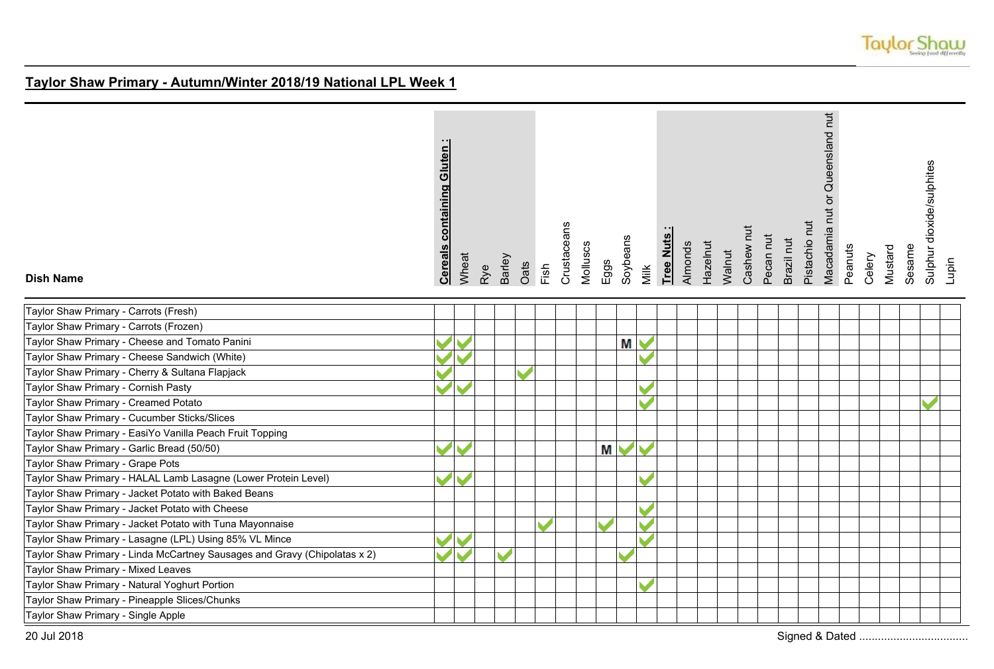

| <b>Dish Name</b>                                                          | <b>containing Gluten</b><br><b>Cereals</b> | Wheat | Rye | Barley | Oats | Fish | Crustaceans | Molluscs | Eggs | Soybeans | Milk | Tree Nuts | Almonds | Hazelnut | Walnut | Cashew nut | Pecan nut | Brazil nut | Pistachio nut | Macadamia nut or Queensland nut | Peanuts | Celery | Mustard | Sesame | Sulphur dioxide/sulphites | Lupin |
|---------------------------------------------------------------------------|--------------------------------------------|-------|-----|--------|------|------|-------------|----------|------|----------|------|-----------|---------|----------|--------|------------|-----------|------------|---------------|---------------------------------|---------|--------|---------|--------|---------------------------|-------|
| Taylor Shaw Primary - Carrots (Fresh)                                     |                                            |       |     |        |      |      |             |          |      |          |      |           |         |          |        |            |           |            |               |                                 |         |        |         |        |                           |       |
| Taylor Shaw Primary - Carrots (Frozen)                                    |                                            |       |     |        |      |      |             |          |      |          |      |           |         |          |        |            |           |            |               |                                 |         |        |         |        |                           |       |
| Taylor Shaw Primary - Cheese and Tomato Panini                            |                                            |       |     |        |      |      |             |          |      | Μ        |      |           |         |          |        |            |           |            |               |                                 |         |        |         |        |                           |       |
| Taylor Shaw Primary - Cheese Sandwich (White)                             |                                            |       |     |        |      |      |             |          |      |          |      |           |         |          |        |            |           |            |               |                                 |         |        |         |        |                           |       |
| Taylor Shaw Primary - Cherry & Sultana Flapjack                           |                                            |       |     |        |      |      |             |          |      |          |      |           |         |          |        |            |           |            |               |                                 |         |        |         |        |                           |       |
| Taylor Shaw Primary - Cornish Pasty                                       |                                            |       |     |        |      |      |             |          |      |          |      |           |         |          |        |            |           |            |               |                                 |         |        |         |        |                           |       |
| Taylor Shaw Primary - Creamed Potato                                      |                                            |       |     |        |      |      |             |          |      |          |      |           |         |          |        |            |           |            |               |                                 |         |        |         |        |                           |       |
| Taylor Shaw Primary - Cucumber Sticks/Slices                              |                                            |       |     |        |      |      |             |          |      |          |      |           |         |          |        |            |           |            |               |                                 |         |        |         |        |                           |       |
| Taylor Shaw Primary - EasiYo Vanilla Peach Fruit Topping                  |                                            |       |     |        |      |      |             |          |      |          |      |           |         |          |        |            |           |            |               |                                 |         |        |         |        |                           |       |
| Taylor Shaw Primary - Garlic Bread (50/50)                                |                                            |       |     |        |      |      |             |          | М    |          |      |           |         |          |        |            |           |            |               |                                 |         |        |         |        |                           |       |
| Taylor Shaw Primary - Grape Pots                                          |                                            |       |     |        |      |      |             |          |      |          |      |           |         |          |        |            |           |            |               |                                 |         |        |         |        |                           |       |
| Taylor Shaw Primary - HALAL Lamb Lasagne (Lower Protein Level)            | B                                          |       |     |        |      |      |             |          |      |          |      |           |         |          |        |            |           |            |               |                                 |         |        |         |        |                           |       |
| Taylor Shaw Primary - Jacket Potato with Baked Beans                      |                                            |       |     |        |      |      |             |          |      |          |      |           |         |          |        |            |           |            |               |                                 |         |        |         |        |                           |       |
| Taylor Shaw Primary - Jacket Potato with Cheese                           |                                            |       |     |        |      |      |             |          |      |          |      |           |         |          |        |            |           |            |               |                                 |         |        |         |        |                           |       |
| Taylor Shaw Primary - Jacket Potato with Tuna Mayonnaise                  |                                            |       |     |        |      |      |             |          |      |          |      |           |         |          |        |            |           |            |               |                                 |         |        |         |        |                           |       |
| Taylor Shaw Primary - Lasagne (LPL) Using 85% VL Mince                    |                                            |       |     |        |      |      |             |          |      |          |      |           |         |          |        |            |           |            |               |                                 |         |        |         |        |                           |       |
| Taylor Shaw Primary - Linda McCartney Sausages and Gravy (Chipolatas x 2) |                                            |       |     |        |      |      |             |          |      |          |      |           |         |          |        |            |           |            |               |                                 |         |        |         |        |                           |       |
| Taylor Shaw Primary - Mixed Leaves                                        |                                            |       |     |        |      |      |             |          |      |          |      |           |         |          |        |            |           |            |               |                                 |         |        |         |        |                           |       |
| Taylor Shaw Primary - Natural Yoghurt Portion                             |                                            |       |     |        |      |      |             |          |      |          |      |           |         |          |        |            |           |            |               |                                 |         |        |         |        |                           |       |
| Taylor Shaw Primary - Pineapple Slices/Chunks                             |                                            |       |     |        |      |      |             |          |      |          |      |           |         |          |        |            |           |            |               |                                 |         |        |         |        |                           |       |
| Taylor Shaw Primary - Single Apple                                        |                                            |       |     |        |      |      |             |          |      |          |      |           |         |          |        |            |           |            |               |                                 |         |        |         |        |                           |       |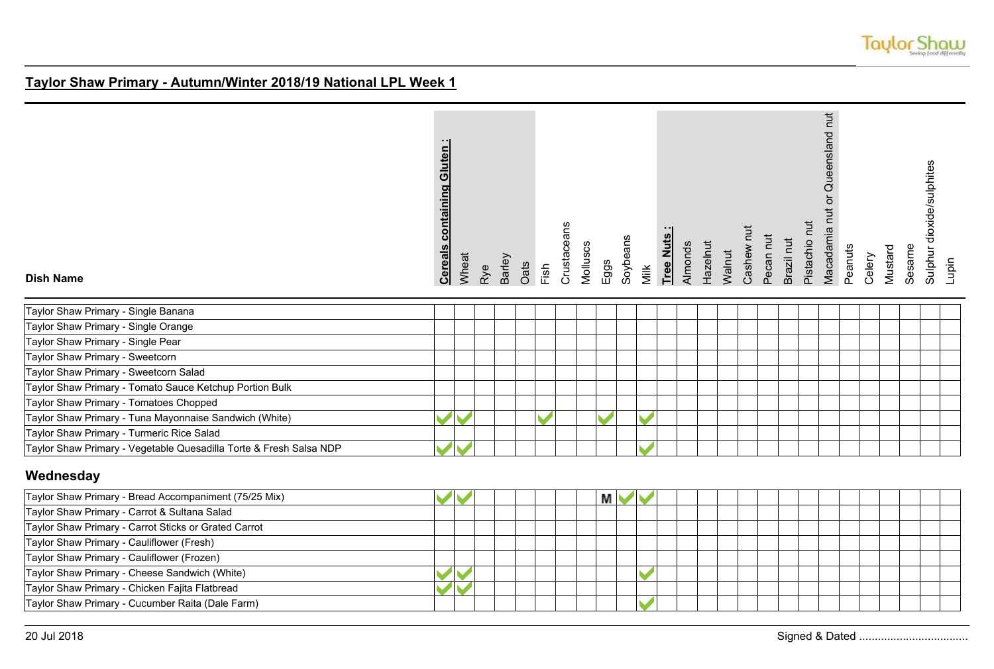

| <b>Dish Name</b>                                                   | containing Gluten<br><b>Cereals</b> | Wheat | Rye | Barley | Oats | Fish | Crustaceans | Molluscs<br>Eggs | Soybeans | Milk | Tree Nuts | Almonds | Hazelnut | Walnut | Cashew nut | Pecan nut | Brazil nut | Pistachio nut | Macadamia nut or Queensland nut | Peanuts | Celery | Mustard | Sesame | dioxide/sulphites<br>Sulphur | Lupin |
|--------------------------------------------------------------------|-------------------------------------|-------|-----|--------|------|------|-------------|------------------|----------|------|-----------|---------|----------|--------|------------|-----------|------------|---------------|---------------------------------|---------|--------|---------|--------|------------------------------|-------|
| Taylor Shaw Primary - Single Banana                                |                                     |       |     |        |      |      |             |                  |          |      |           |         |          |        |            |           |            |               |                                 |         |        |         |        |                              |       |
| Taylor Shaw Primary - Single Orange                                |                                     |       |     |        |      |      |             |                  |          |      |           |         |          |        |            |           |            |               |                                 |         |        |         |        |                              |       |
| Taylor Shaw Primary - Single Pear                                  |                                     |       |     |        |      |      |             |                  |          |      |           |         |          |        |            |           |            |               |                                 |         |        |         |        |                              |       |
| Taylor Shaw Primary - Sweetcorn                                    |                                     |       |     |        |      |      |             |                  |          |      |           |         |          |        |            |           |            |               |                                 |         |        |         |        |                              |       |
| Taylor Shaw Primary - Sweetcorn Salad                              |                                     |       |     |        |      |      |             |                  |          |      |           |         |          |        |            |           |            |               |                                 |         |        |         |        |                              |       |
| Taylor Shaw Primary - Tomato Sauce Ketchup Portion Bulk            |                                     |       |     |        |      |      |             |                  |          |      |           |         |          |        |            |           |            |               |                                 |         |        |         |        |                              |       |
| Taylor Shaw Primary - Tomatoes Chopped                             |                                     |       |     |        |      |      |             |                  |          |      |           |         |          |        |            |           |            |               |                                 |         |        |         |        |                              |       |
| Taylor Shaw Primary - Tuna Mayonnaise Sandwich (White)             |                                     |       |     |        |      |      |             |                  |          |      |           |         |          |        |            |           |            |               |                                 |         |        |         |        |                              |       |
| Taylor Shaw Primary - Turmeric Rice Salad                          |                                     |       |     |        |      |      |             |                  |          |      |           |         |          |        |            |           |            |               |                                 |         |        |         |        |                              |       |
| Taylor Shaw Primary - Vegetable Quesadilla Torte & Fresh Salsa NDP |                                     |       |     |        |      |      |             |                  |          |      |           |         |          |        |            |           |            |               |                                 |         |        |         |        |                              |       |

## **Wednesday**

| Taylor Shaw Primary - Bread Accompaniment (75/25 Mix) |  |  | М |  |  |  |  |  |  |  |
|-------------------------------------------------------|--|--|---|--|--|--|--|--|--|--|
| Taylor Shaw Primary - Carrot & Sultana Salad          |  |  |   |  |  |  |  |  |  |  |
| Taylor Shaw Primary - Carrot Sticks or Grated Carrot  |  |  |   |  |  |  |  |  |  |  |
| Taylor Shaw Primary - Cauliflower (Fresh)             |  |  |   |  |  |  |  |  |  |  |
| Taylor Shaw Primary - Cauliflower (Frozen)            |  |  |   |  |  |  |  |  |  |  |
| Taylor Shaw Primary - Cheese Sandwich (White)         |  |  |   |  |  |  |  |  |  |  |
| Taylor Shaw Primary - Chicken Fajita Flatbread        |  |  |   |  |  |  |  |  |  |  |
| Taylor Shaw Primary - Cucumber Raita (Dale Farm)      |  |  |   |  |  |  |  |  |  |  |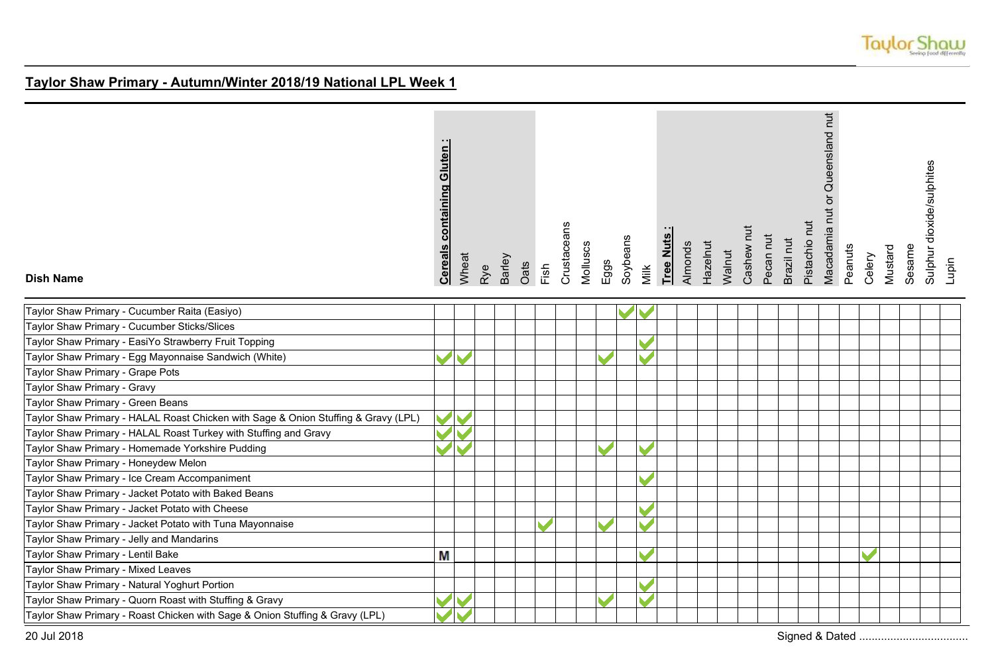

| <b>Dish Name</b>                                                                   | <b>Cereals containing Gluten:</b> | Wheat | Rye | Barley | Oats | Fish | Crustaceans | Molluscs | Eggs | Soybeans | Milk | Tree Nuts | Almonds | Hazelnut | Cashew nut<br>Walnut | Pecan nut | Brazil nut | Pistachio nut | Macadamia nut or Queensland nut | Peanuts | Celery | Mustard | Sesame | Sulphur dioxide/sulphites | Lupin |
|------------------------------------------------------------------------------------|-----------------------------------|-------|-----|--------|------|------|-------------|----------|------|----------|------|-----------|---------|----------|----------------------|-----------|------------|---------------|---------------------------------|---------|--------|---------|--------|---------------------------|-------|
| Taylor Shaw Primary - Cucumber Raita (Easiyo)                                      |                                   |       |     |        |      |      |             |          |      |          |      |           |         |          |                      |           |            |               |                                 |         |        |         |        |                           |       |
| Taylor Shaw Primary - Cucumber Sticks/Slices                                       |                                   |       |     |        |      |      |             |          |      |          |      |           |         |          |                      |           |            |               |                                 |         |        |         |        |                           |       |
| Taylor Shaw Primary - EasiYo Strawberry Fruit Topping                              |                                   |       |     |        |      |      |             |          |      |          |      |           |         |          |                      |           |            |               |                                 |         |        |         |        |                           |       |
| Taylor Shaw Primary - Egg Mayonnaise Sandwich (White)                              |                                   |       |     |        |      |      |             |          |      |          |      |           |         |          |                      |           |            |               |                                 |         |        |         |        |                           |       |
| Taylor Shaw Primary - Grape Pots                                                   |                                   |       |     |        |      |      |             |          |      |          |      |           |         |          |                      |           |            |               |                                 |         |        |         |        |                           |       |
| Taylor Shaw Primary - Gravy                                                        |                                   |       |     |        |      |      |             |          |      |          |      |           |         |          |                      |           |            |               |                                 |         |        |         |        |                           |       |
| Taylor Shaw Primary - Green Beans                                                  |                                   |       |     |        |      |      |             |          |      |          |      |           |         |          |                      |           |            |               |                                 |         |        |         |        |                           |       |
| Taylor Shaw Primary - HALAL Roast Chicken with Sage & Onion Stuffing & Gravy (LPL) |                                   |       |     |        |      |      |             |          |      |          |      |           |         |          |                      |           |            |               |                                 |         |        |         |        |                           |       |
| Taylor Shaw Primary - HALAL Roast Turkey with Stuffing and Gravy                   |                                   |       |     |        |      |      |             |          |      |          |      |           |         |          |                      |           |            |               |                                 |         |        |         |        |                           |       |
| Taylor Shaw Primary - Homemade Yorkshire Pudding                                   |                                   |       |     |        |      |      |             |          |      |          |      |           |         |          |                      |           |            |               |                                 |         |        |         |        |                           |       |
| Taylor Shaw Primary - Honeydew Melon                                               |                                   |       |     |        |      |      |             |          |      |          |      |           |         |          |                      |           |            |               |                                 |         |        |         |        |                           |       |
| Taylor Shaw Primary - Ice Cream Accompaniment                                      |                                   |       |     |        |      |      |             |          |      |          |      |           |         |          |                      |           |            |               |                                 |         |        |         |        |                           |       |
| Taylor Shaw Primary - Jacket Potato with Baked Beans                               |                                   |       |     |        |      |      |             |          |      |          |      |           |         |          |                      |           |            |               |                                 |         |        |         |        |                           |       |
| Taylor Shaw Primary - Jacket Potato with Cheese                                    |                                   |       |     |        |      |      |             |          |      |          |      |           |         |          |                      |           |            |               |                                 |         |        |         |        |                           |       |
| Taylor Shaw Primary - Jacket Potato with Tuna Mayonnaise                           |                                   |       |     |        |      |      |             |          |      |          |      |           |         |          |                      |           |            |               |                                 |         |        |         |        |                           |       |
| Taylor Shaw Primary - Jelly and Mandarins                                          |                                   |       |     |        |      |      |             |          |      |          |      |           |         |          |                      |           |            |               |                                 |         |        |         |        |                           |       |
| Taylor Shaw Primary - Lentil Bake                                                  | M                                 |       |     |        |      |      |             |          |      |          |      |           |         |          |                      |           |            |               |                                 |         |        |         |        |                           |       |
| Taylor Shaw Primary - Mixed Leaves                                                 |                                   |       |     |        |      |      |             |          |      |          |      |           |         |          |                      |           |            |               |                                 |         |        |         |        |                           |       |
| Taylor Shaw Primary - Natural Yoghurt Portion                                      |                                   |       |     |        |      |      |             |          |      |          |      |           |         |          |                      |           |            |               |                                 |         |        |         |        |                           |       |
| Taylor Shaw Primary - Quorn Roast with Stuffing & Gravy                            |                                   |       |     |        |      |      |             |          |      |          |      |           |         |          |                      |           |            |               |                                 |         |        |         |        |                           |       |
| Taylor Shaw Primary - Roast Chicken with Sage & Onion Stuffing & Gravy (LPL)       |                                   |       |     |        |      |      |             |          |      |          |      |           |         |          |                      |           |            |               |                                 |         |        |         |        |                           |       |

20 Jul 2018 Signed & Dated ...................................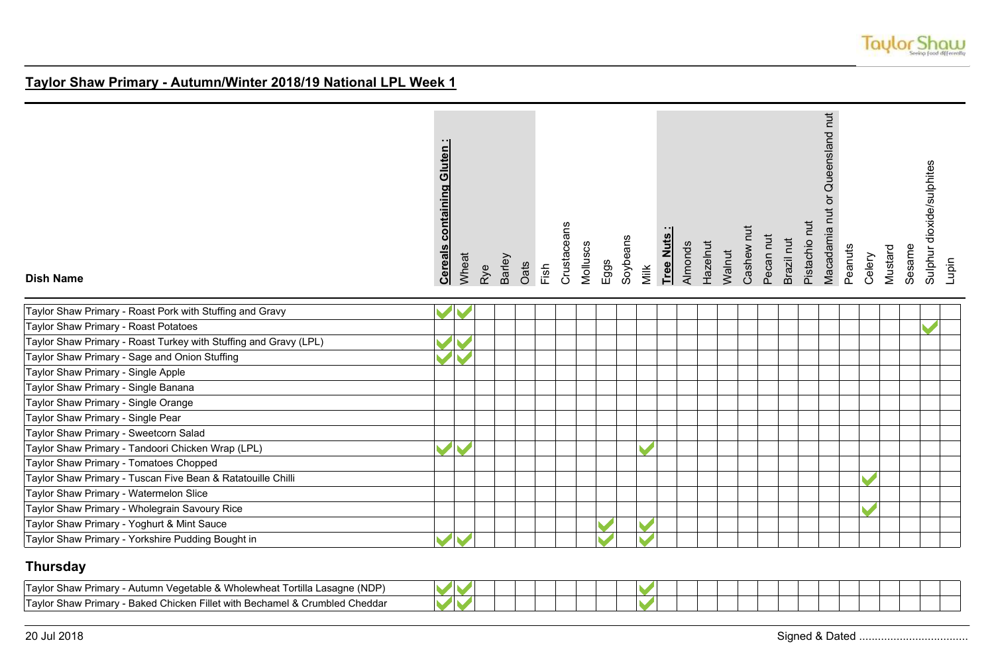

| <b>Dish Name</b>                                                 | <b>Cereals containing Gluten:</b> | Wheat | Rye | Barley | Oats | Fish | Crustaceans | Molluscs | Eggs | Soybeans | Milk | Tree Nuts | Almonds | Hazelnut | Walnut | Cashew nut | Pecan nut | Brazil nut | Pistachio nut | Macadamia nut or Queensland nut | Peanuts | Celery | Mustard | Sesame | Sulphur dioxide/sulphites | Lupin |
|------------------------------------------------------------------|-----------------------------------|-------|-----|--------|------|------|-------------|----------|------|----------|------|-----------|---------|----------|--------|------------|-----------|------------|---------------|---------------------------------|---------|--------|---------|--------|---------------------------|-------|
| Taylor Shaw Primary - Roast Pork with Stuffing and Gravy         |                                   |       |     |        |      |      |             |          |      |          |      |           |         |          |        |            |           |            |               |                                 |         |        |         |        |                           |       |
| Taylor Shaw Primary - Roast Potatoes                             |                                   |       |     |        |      |      |             |          |      |          |      |           |         |          |        |            |           |            |               |                                 |         |        |         |        |                           |       |
| Taylor Shaw Primary - Roast Turkey with Stuffing and Gravy (LPL) |                                   |       |     |        |      |      |             |          |      |          |      |           |         |          |        |            |           |            |               |                                 |         |        |         |        |                           |       |
| Taylor Shaw Primary - Sage and Onion Stuffing                    |                                   |       |     |        |      |      |             |          |      |          |      |           |         |          |        |            |           |            |               |                                 |         |        |         |        |                           |       |
| Taylor Shaw Primary - Single Apple                               |                                   |       |     |        |      |      |             |          |      |          |      |           |         |          |        |            |           |            |               |                                 |         |        |         |        |                           |       |
| Taylor Shaw Primary - Single Banana                              |                                   |       |     |        |      |      |             |          |      |          |      |           |         |          |        |            |           |            |               |                                 |         |        |         |        |                           |       |
| Taylor Shaw Primary - Single Orange                              |                                   |       |     |        |      |      |             |          |      |          |      |           |         |          |        |            |           |            |               |                                 |         |        |         |        |                           |       |
| Taylor Shaw Primary - Single Pear                                |                                   |       |     |        |      |      |             |          |      |          |      |           |         |          |        |            |           |            |               |                                 |         |        |         |        |                           |       |
| Taylor Shaw Primary - Sweetcorn Salad                            |                                   |       |     |        |      |      |             |          |      |          |      |           |         |          |        |            |           |            |               |                                 |         |        |         |        |                           |       |
| Taylor Shaw Primary - Tandoori Chicken Wrap (LPL)                |                                   |       |     |        |      |      |             |          |      |          |      |           |         |          |        |            |           |            |               |                                 |         |        |         |        |                           |       |
| Taylor Shaw Primary - Tomatoes Chopped                           |                                   |       |     |        |      |      |             |          |      |          |      |           |         |          |        |            |           |            |               |                                 |         |        |         |        |                           |       |
| Taylor Shaw Primary - Tuscan Five Bean & Ratatouille Chilli      |                                   |       |     |        |      |      |             |          |      |          |      |           |         |          |        |            |           |            |               |                                 |         |        |         |        |                           |       |
| Taylor Shaw Primary - Watermelon Slice                           |                                   |       |     |        |      |      |             |          |      |          |      |           |         |          |        |            |           |            |               |                                 |         |        |         |        |                           |       |
| Taylor Shaw Primary - Wholegrain Savoury Rice                    |                                   |       |     |        |      |      |             |          |      |          |      |           |         |          |        |            |           |            |               |                                 |         |        |         |        |                           |       |
| Taylor Shaw Primary - Yoghurt & Mint Sauce                       |                                   |       |     |        |      |      |             |          |      |          |      |           |         |          |        |            |           |            |               |                                 |         |        |         |        |                           |       |
| Taylor Shaw Primary - Yorkshire Pudding Bought in                |                                   |       |     |        |      |      |             |          |      |          |      |           |         |          |        |            |           |            |               |                                 |         |        |         |        |                           |       |

## **Thursday**

| Lasagne (NDP)<br>'Tavlor<br>Tortilla<br>- Autumn<br>↑ Vedetable &<br>iolewhea<br>. Primar<br>shaw<br>VVI                  | __ |  |
|---------------------------------------------------------------------------------------------------------------------------|----|--|
| $T$ avlor,<br>l Cheddai<br>$\circ$ $\sim$<br>illet<br>vith Bechamel<br>Bake<br>umbled<br>Chicken<br>Primar<br>shaw<br>ו א |    |  |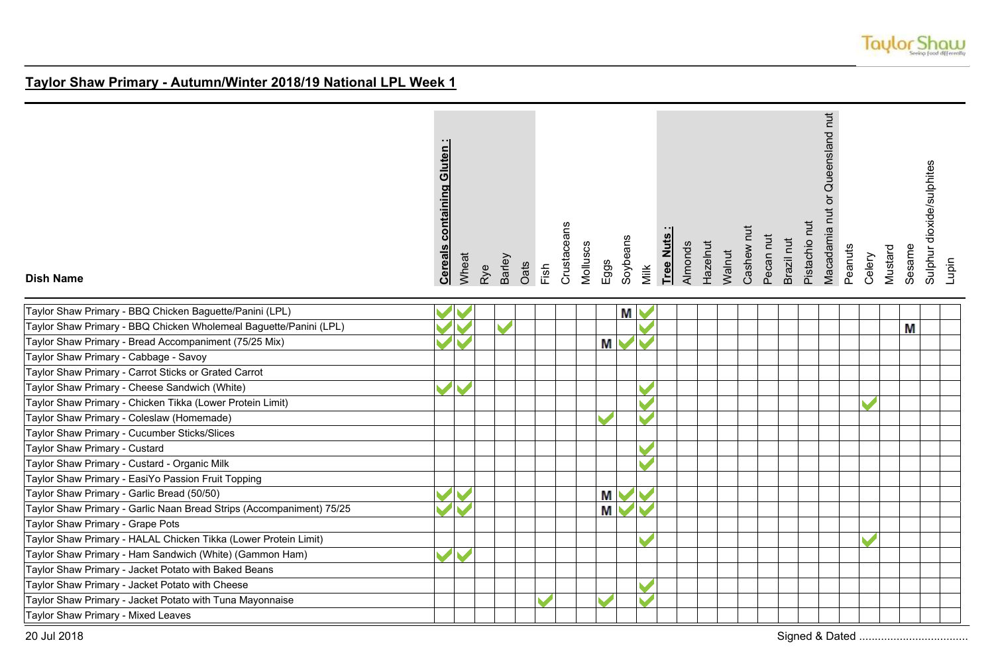

| $\cdot$ $\cdot$ I<br><b>Cereals containing Gluten</b> |
|-------------------------------------------------------|
| Wheat                                                 |
| Rye                                                   |
| Barley                                                |
| Oats                                                  |
| Fish                                                  |
| Crustaceans                                           |
| Molluscs                                              |
| Eggs                                                  |
| Soybeans                                              |
| Milk                                                  |
| - 1<br>Tree Nuts                                      |
| Almonds                                               |
| Hazelnut                                              |
| Walnut                                                |
| Cashew nut                                            |
| Pecan nut                                             |
| Brazil nut                                            |
| Pistachio nut                                         |
| nut or Queensland<br>Macadamia                        |
| Peanuts                                               |
| Celery                                                |
| Mustard                                               |
| Sesame                                                |
| Sulphur dioxide/sulphites                             |
| Lupin                                                 |

#### **Dish Name**

|  | М |   |  |
|--|---|---|--|
|  |   | M |  |
|  | М |   |  |
|  |   |   |  |
|  |   |   |  |
|  |   |   |  |
|  |   |   |  |
|  |   |   |  |
|  |   |   |  |
|  |   |   |  |
|  |   |   |  |
|  |   |   |  |
|  | M |   |  |
|  | M |   |  |
|  |   |   |  |
|  |   |   |  |
|  |   |   |  |
|  |   |   |  |
|  |   |   |  |
|  |   |   |  |
|  |   |   |  |
|  |   |   |  |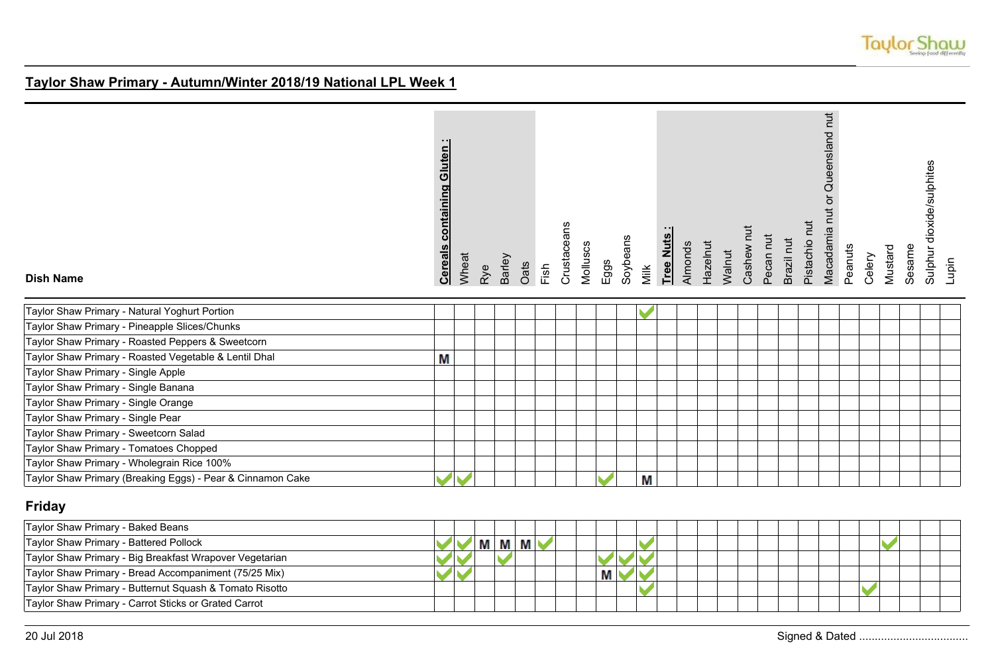

| <b>Dish Name</b>                                           | <b>Cereals containing Gluten:</b> | Wheat                | Rye | Barley | Oats | nsi<br>Fish | Crustaceans | Molluscs | Eggs | Soybeans | Milk | Tree Nuts | Almonds | Hazelnut | Walnut | Cashew nut | Pecan nut | Brazil nut | Pistachio nut | Macadamia nut or Queensland nut | Peanuts | Celery | Mustard | Sesame | dioxide/sulphites<br>Sulphur | Lupin |
|------------------------------------------------------------|-----------------------------------|----------------------|-----|--------|------|-------------|-------------|----------|------|----------|------|-----------|---------|----------|--------|------------|-----------|------------|---------------|---------------------------------|---------|--------|---------|--------|------------------------------|-------|
| Taylor Shaw Primary - Natural Yoghurt Portion              |                                   |                      |     |        |      |             |             |          |      |          |      |           |         |          |        |            |           |            |               |                                 |         |        |         |        |                              |       |
| Taylor Shaw Primary - Pineapple Slices/Chunks              |                                   |                      |     |        |      |             |             |          |      |          |      |           |         |          |        |            |           |            |               |                                 |         |        |         |        |                              |       |
| Taylor Shaw Primary - Roasted Peppers & Sweetcorn          |                                   |                      |     |        |      |             |             |          |      |          |      |           |         |          |        |            |           |            |               |                                 |         |        |         |        |                              |       |
| Taylor Shaw Primary - Roasted Vegetable & Lentil Dhal      | M                                 |                      |     |        |      |             |             |          |      |          |      |           |         |          |        |            |           |            |               |                                 |         |        |         |        |                              |       |
| Taylor Shaw Primary - Single Apple                         |                                   |                      |     |        |      |             |             |          |      |          |      |           |         |          |        |            |           |            |               |                                 |         |        |         |        |                              |       |
| Taylor Shaw Primary - Single Banana                        |                                   |                      |     |        |      |             |             |          |      |          |      |           |         |          |        |            |           |            |               |                                 |         |        |         |        |                              |       |
| Taylor Shaw Primary - Single Orange                        |                                   |                      |     |        |      |             |             |          |      |          |      |           |         |          |        |            |           |            |               |                                 |         |        |         |        |                              |       |
| Taylor Shaw Primary - Single Pear                          |                                   |                      |     |        |      |             |             |          |      |          |      |           |         |          |        |            |           |            |               |                                 |         |        |         |        |                              |       |
| Taylor Shaw Primary - Sweetcorn Salad                      |                                   |                      |     |        |      |             |             |          |      |          |      |           |         |          |        |            |           |            |               |                                 |         |        |         |        |                              |       |
| Taylor Shaw Primary - Tomatoes Chopped                     |                                   |                      |     |        |      |             |             |          |      |          |      |           |         |          |        |            |           |            |               |                                 |         |        |         |        |                              |       |
| Taylor Shaw Primary - Wholegrain Rice 100%                 |                                   |                      |     |        |      |             |             |          |      |          |      |           |         |          |        |            |           |            |               |                                 |         |        |         |        |                              |       |
| Taylor Shaw Primary (Breaking Eggs) - Pear & Cinnamon Cake |                                   | $\blacktriangledown$ |     |        |      |             |             |          |      |          | M    |           |         |          |        |            |           |            |               |                                 |         |        |         |        |                              |       |

## **Friday**

| Taylor Shaw Primary - Baked Beans                       |  |      |  |  |  |  |  |  |  |  |  |  |
|---------------------------------------------------------|--|------|--|--|--|--|--|--|--|--|--|--|
| Taylor Shaw Primary - Battered Pollock                  |  | IVI. |  |  |  |  |  |  |  |  |  |  |
| Taylor Shaw Primary - Big Breakfast Wrapover Vegetarian |  |      |  |  |  |  |  |  |  |  |  |  |
| Taylor Shaw Primary - Bread Accompaniment (75/25 Mix)   |  |      |  |  |  |  |  |  |  |  |  |  |
| Taylor Shaw Primary - Butternut Squash & Tomato Risotto |  |      |  |  |  |  |  |  |  |  |  |  |
| Taylor Shaw Primary - Carrot Sticks or Grated Carrot    |  |      |  |  |  |  |  |  |  |  |  |  |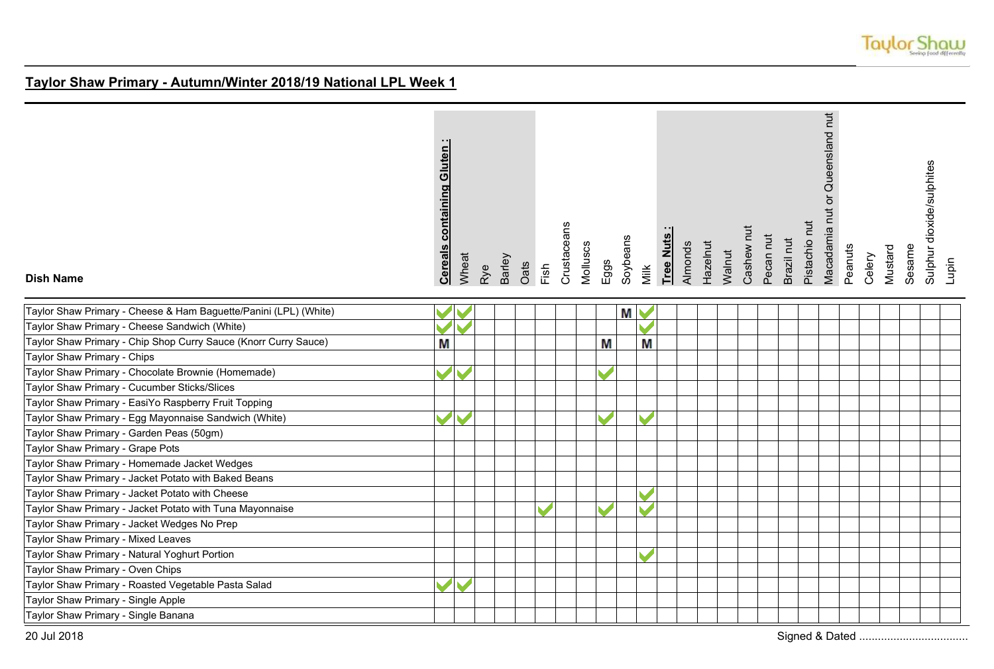

| <b>Dish Name</b>                                                 | <b>containing Gluten</b><br><b>Cereals</b> | Wheat | Rye | Barley | Oats | Fish | Crustaceans | Molluscs | Eggs | Soybeans  | Milk | Tree Nuts | <b>Almonds</b> | Hazelnut | Walnut | Cashew nut | Pecan nut | Brazil nut | Pistachio nut | Macadamia nut or Queensland nut | Peanuts | Celery | Mustard | Sesame | Sulphur dioxide/sulphites<br>Lupin |  |
|------------------------------------------------------------------|--------------------------------------------|-------|-----|--------|------|------|-------------|----------|------|-----------|------|-----------|----------------|----------|--------|------------|-----------|------------|---------------|---------------------------------|---------|--------|---------|--------|------------------------------------|--|
| Taylor Shaw Primary - Cheese & Ham Baguette/Panini (LPL) (White) |                                            |       |     |        |      |      |             |          |      | <b>MV</b> |      |           |                |          |        |            |           |            |               |                                 |         |        |         |        |                                    |  |
| Taylor Shaw Primary - Cheese Sandwich (White)                    |                                            |       |     |        |      |      |             |          |      |           |      |           |                |          |        |            |           |            |               |                                 |         |        |         |        |                                    |  |
| Taylor Shaw Primary - Chip Shop Curry Sauce (Knorr Curry Sauce)  | M                                          |       |     |        |      |      |             |          | М    |           | M    |           |                |          |        |            |           |            |               |                                 |         |        |         |        |                                    |  |
| Taylor Shaw Primary - Chips                                      |                                            |       |     |        |      |      |             |          |      |           |      |           |                |          |        |            |           |            |               |                                 |         |        |         |        |                                    |  |
| Taylor Shaw Primary - Chocolate Brownie (Homemade)               |                                            |       |     |        |      |      |             |          |      |           |      |           |                |          |        |            |           |            |               |                                 |         |        |         |        |                                    |  |
| Taylor Shaw Primary - Cucumber Sticks/Slices                     |                                            |       |     |        |      |      |             |          |      |           |      |           |                |          |        |            |           |            |               |                                 |         |        |         |        |                                    |  |
| Taylor Shaw Primary - EasiYo Raspberry Fruit Topping             |                                            |       |     |        |      |      |             |          |      |           |      |           |                |          |        |            |           |            |               |                                 |         |        |         |        |                                    |  |
| Taylor Shaw Primary - Egg Mayonnaise Sandwich (White)            |                                            |       |     |        |      |      |             |          |      |           |      |           |                |          |        |            |           |            |               |                                 |         |        |         |        |                                    |  |
| Taylor Shaw Primary - Garden Peas (50gm)                         |                                            |       |     |        |      |      |             |          |      |           |      |           |                |          |        |            |           |            |               |                                 |         |        |         |        |                                    |  |
| Taylor Shaw Primary - Grape Pots                                 |                                            |       |     |        |      |      |             |          |      |           |      |           |                |          |        |            |           |            |               |                                 |         |        |         |        |                                    |  |
| Taylor Shaw Primary - Homemade Jacket Wedges                     |                                            |       |     |        |      |      |             |          |      |           |      |           |                |          |        |            |           |            |               |                                 |         |        |         |        |                                    |  |
| Taylor Shaw Primary - Jacket Potato with Baked Beans             |                                            |       |     |        |      |      |             |          |      |           |      |           |                |          |        |            |           |            |               |                                 |         |        |         |        |                                    |  |
| Taylor Shaw Primary - Jacket Potato with Cheese                  |                                            |       |     |        |      |      |             |          |      |           |      |           |                |          |        |            |           |            |               |                                 |         |        |         |        |                                    |  |
| Taylor Shaw Primary - Jacket Potato with Tuna Mayonnaise         |                                            |       |     |        |      |      |             |          |      |           |      |           |                |          |        |            |           |            |               |                                 |         |        |         |        |                                    |  |
| Taylor Shaw Primary - Jacket Wedges No Prep                      |                                            |       |     |        |      |      |             |          |      |           |      |           |                |          |        |            |           |            |               |                                 |         |        |         |        |                                    |  |
| Taylor Shaw Primary - Mixed Leaves                               |                                            |       |     |        |      |      |             |          |      |           |      |           |                |          |        |            |           |            |               |                                 |         |        |         |        |                                    |  |
| Taylor Shaw Primary - Natural Yoghurt Portion                    |                                            |       |     |        |      |      |             |          |      |           |      |           |                |          |        |            |           |            |               |                                 |         |        |         |        |                                    |  |
| Taylor Shaw Primary - Oven Chips                                 |                                            |       |     |        |      |      |             |          |      |           |      |           |                |          |        |            |           |            |               |                                 |         |        |         |        |                                    |  |
| Taylor Shaw Primary - Roasted Vegetable Pasta Salad              |                                            |       |     |        |      |      |             |          |      |           |      |           |                |          |        |            |           |            |               |                                 |         |        |         |        |                                    |  |
| Taylor Shaw Primary - Single Apple                               |                                            |       |     |        |      |      |             |          |      |           |      |           |                |          |        |            |           |            |               |                                 |         |        |         |        |                                    |  |
| Taylor Shaw Primary - Single Banana                              |                                            |       |     |        |      |      |             |          |      |           |      |           |                |          |        |            |           |            |               |                                 |         |        |         |        |                                    |  |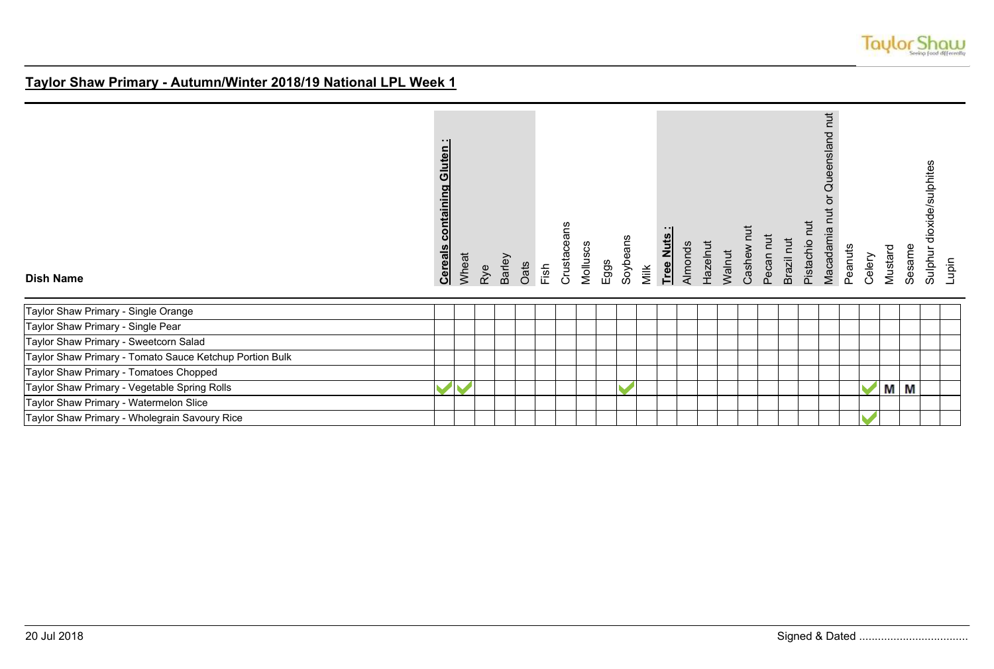

| <b>Dish Name</b>                                        | containing Gluten:<br><b>Cereals</b> | Wheat | Rye | Barley | Oats | Fish | Crustaceans | Molluscs | Eggs | Soybeans | Milk | Tree Nuts | Almonds | Hazelnut | Walnut | Cashew nut | Pecan nut | Brazil nut | Pistachio nut | Macadamia nut or Queensland nut | Peanuts | Celery | Mustard | Sesame | dioxide/sulphites<br>Sulphur | Lupin |
|---------------------------------------------------------|--------------------------------------|-------|-----|--------|------|------|-------------|----------|------|----------|------|-----------|---------|----------|--------|------------|-----------|------------|---------------|---------------------------------|---------|--------|---------|--------|------------------------------|-------|
| Taylor Shaw Primary - Single Orange                     |                                      |       |     |        |      |      |             |          |      |          |      |           |         |          |        |            |           |            |               |                                 |         |        |         |        |                              |       |
| Taylor Shaw Primary - Single Pear                       |                                      |       |     |        |      |      |             |          |      |          |      |           |         |          |        |            |           |            |               |                                 |         |        |         |        |                              |       |
| Taylor Shaw Primary - Sweetcorn Salad                   |                                      |       |     |        |      |      |             |          |      |          |      |           |         |          |        |            |           |            |               |                                 |         |        |         |        |                              |       |
| Taylor Shaw Primary - Tomato Sauce Ketchup Portion Bulk |                                      |       |     |        |      |      |             |          |      |          |      |           |         |          |        |            |           |            |               |                                 |         |        |         |        |                              |       |
| Taylor Shaw Primary - Tomatoes Chopped                  |                                      |       |     |        |      |      |             |          |      |          |      |           |         |          |        |            |           |            |               |                                 |         |        |         |        |                              |       |
| Taylor Shaw Primary - Vegetable Spring Rolls            |                                      |       |     |        |      |      |             |          |      |          |      |           |         |          |        |            |           |            |               |                                 |         |        | M M     |        |                              |       |
| Taylor Shaw Primary - Watermelon Slice                  |                                      |       |     |        |      |      |             |          |      |          |      |           |         |          |        |            |           |            |               |                                 |         |        |         |        |                              |       |
| Taylor Shaw Primary - Wholegrain Savoury Rice           |                                      |       |     |        |      |      |             |          |      |          |      |           |         |          |        |            |           |            |               |                                 |         |        |         |        |                              |       |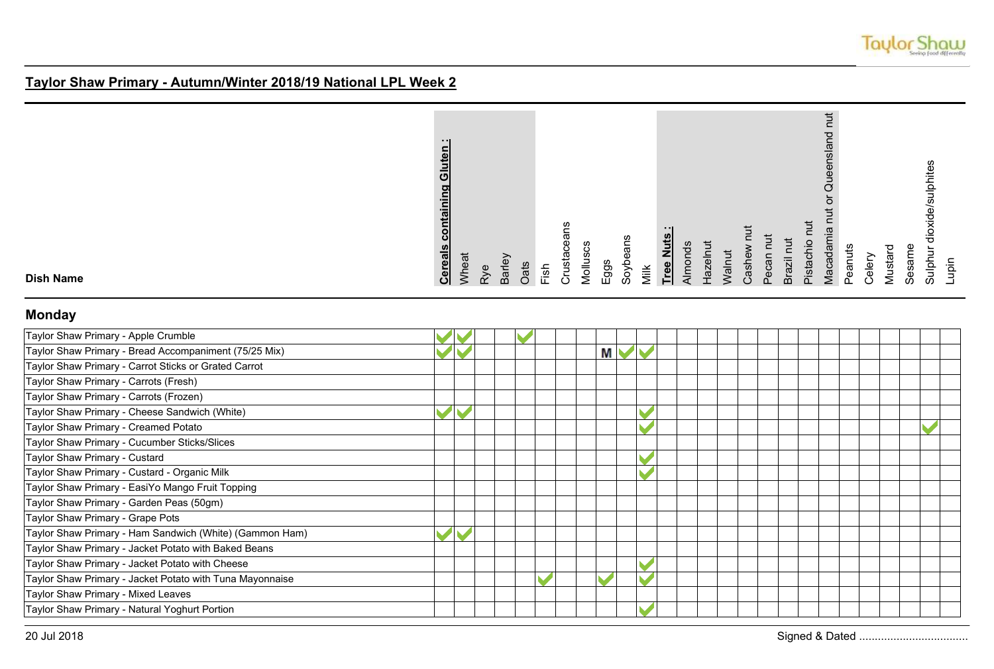

| Gluten<br>containing<br><b>Cereals</b> |
|----------------------------------------|
| Wheat                                  |
| Rye                                    |
| Barley                                 |
| Oats                                   |
| Fish                                   |
| Crustaceans                            |
| Molluscs                               |
| Eggs                                   |
| Soybeans                               |
| Milk                                   |
| $\cdot$ $\cdot$ I<br>Tree Nuts         |
| Almonds                                |
| Hazelnut                               |
| Walnut                                 |
| Cashew nu                              |
| Pecan nut                              |
| Brazil nut                             |
| Pistachio nut                          |
| ち<br>nut or Queensland<br>Macadamia    |
| Peanuts                                |
| Celery                                 |
| Mustard                                |
| Sesame                                 |
| Sulphur dioxide/sulphites              |
| Lupin                                  |
|                                        |

**Dish Name**

## **Monday**

| Taylor Shaw Primary - Apple Crumble                      |  |  |   |  |  |  |  |  |  |  |  |
|----------------------------------------------------------|--|--|---|--|--|--|--|--|--|--|--|
| Taylor Shaw Primary - Bread Accompaniment (75/25 Mix)    |  |  | М |  |  |  |  |  |  |  |  |
| Taylor Shaw Primary - Carrot Sticks or Grated Carrot     |  |  |   |  |  |  |  |  |  |  |  |
| Taylor Shaw Primary - Carrots (Fresh)                    |  |  |   |  |  |  |  |  |  |  |  |
| Taylor Shaw Primary - Carrots (Frozen)                   |  |  |   |  |  |  |  |  |  |  |  |
| Taylor Shaw Primary - Cheese Sandwich (White)            |  |  |   |  |  |  |  |  |  |  |  |
| Taylor Shaw Primary - Creamed Potato                     |  |  |   |  |  |  |  |  |  |  |  |
| Taylor Shaw Primary - Cucumber Sticks/Slices             |  |  |   |  |  |  |  |  |  |  |  |
| Taylor Shaw Primary - Custard                            |  |  |   |  |  |  |  |  |  |  |  |
| Taylor Shaw Primary - Custard - Organic Milk             |  |  |   |  |  |  |  |  |  |  |  |
| Taylor Shaw Primary - EasiYo Mango Fruit Topping         |  |  |   |  |  |  |  |  |  |  |  |
| Taylor Shaw Primary - Garden Peas (50gm)                 |  |  |   |  |  |  |  |  |  |  |  |
| Taylor Shaw Primary - Grape Pots                         |  |  |   |  |  |  |  |  |  |  |  |
| Taylor Shaw Primary - Ham Sandwich (White) (Gammon Ham)  |  |  |   |  |  |  |  |  |  |  |  |
| Taylor Shaw Primary - Jacket Potato with Baked Beans     |  |  |   |  |  |  |  |  |  |  |  |
| Taylor Shaw Primary - Jacket Potato with Cheese          |  |  |   |  |  |  |  |  |  |  |  |
| Taylor Shaw Primary - Jacket Potato with Tuna Mayonnaise |  |  | M |  |  |  |  |  |  |  |  |
| Taylor Shaw Primary - Mixed Leaves                       |  |  |   |  |  |  |  |  |  |  |  |
| Taylor Shaw Primary - Natural Yoghurt Portion            |  |  |   |  |  |  |  |  |  |  |  |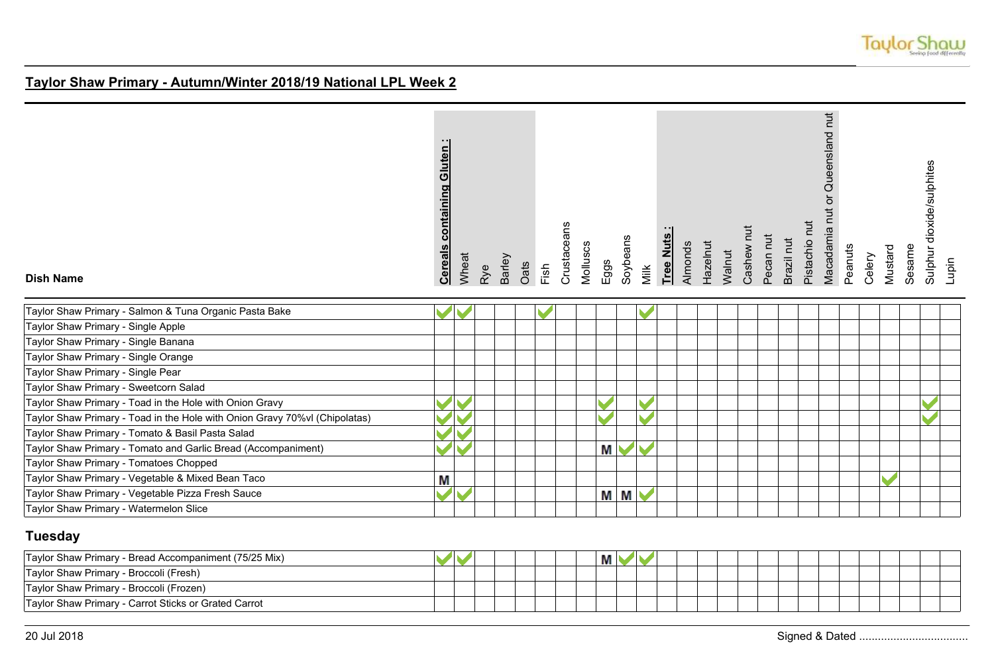

| <b>Dish Name</b>                                                           | <b>Cereals containing Gluten:</b> | Wheat | Rye | Barley | Oats | Fish | Crustaceans | Molluscs | Eggs | Soybeans       | Milk | Tree Nuts | Almonds | Hazelnut | Walnut | Cashew nut | Pecan nut | Brazil nut | Pistachio nut | Macadamia nut or Queensland nut | Peanuts | Celery | Mustard | Sesame | dioxide/sulphites<br>Sulphur | Lupin |
|----------------------------------------------------------------------------|-----------------------------------|-------|-----|--------|------|------|-------------|----------|------|----------------|------|-----------|---------|----------|--------|------------|-----------|------------|---------------|---------------------------------|---------|--------|---------|--------|------------------------------|-------|
| Taylor Shaw Primary - Salmon & Tuna Organic Pasta Bake                     |                                   |       |     |        |      |      |             |          |      |                |      |           |         |          |        |            |           |            |               |                                 |         |        |         |        |                              |       |
| Taylor Shaw Primary - Single Apple                                         |                                   |       |     |        |      |      |             |          |      |                |      |           |         |          |        |            |           |            |               |                                 |         |        |         |        |                              |       |
| Taylor Shaw Primary - Single Banana                                        |                                   |       |     |        |      |      |             |          |      |                |      |           |         |          |        |            |           |            |               |                                 |         |        |         |        |                              |       |
| Taylor Shaw Primary - Single Orange                                        |                                   |       |     |        |      |      |             |          |      |                |      |           |         |          |        |            |           |            |               |                                 |         |        |         |        |                              |       |
| Taylor Shaw Primary - Single Pear                                          |                                   |       |     |        |      |      |             |          |      |                |      |           |         |          |        |            |           |            |               |                                 |         |        |         |        |                              |       |
| Taylor Shaw Primary - Sweetcorn Salad                                      |                                   |       |     |        |      |      |             |          |      |                |      |           |         |          |        |            |           |            |               |                                 |         |        |         |        |                              |       |
| Taylor Shaw Primary - Toad in the Hole with Onion Gravy                    |                                   |       |     |        |      |      |             |          |      |                |      |           |         |          |        |            |           |            |               |                                 |         |        |         |        |                              |       |
| Taylor Shaw Primary - Toad in the Hole with Onion Gravy 70%vl (Chipolatas) |                                   |       |     |        |      |      |             |          |      |                |      |           |         |          |        |            |           |            |               |                                 |         |        |         |        |                              |       |
| Taylor Shaw Primary - Tomato & Basil Pasta Salad                           |                                   |       |     |        |      |      |             |          |      |                |      |           |         |          |        |            |           |            |               |                                 |         |        |         |        |                              |       |
| Taylor Shaw Primary - Tomato and Garlic Bread (Accompaniment)              |                                   |       |     |        |      |      |             |          | Μ    |                |      |           |         |          |        |            |           |            |               |                                 |         |        |         |        |                              |       |
| Taylor Shaw Primary - Tomatoes Chopped                                     |                                   |       |     |        |      |      |             |          |      |                |      |           |         |          |        |            |           |            |               |                                 |         |        |         |        |                              |       |
| Taylor Shaw Primary - Vegetable & Mixed Bean Taco                          | Μ                                 |       |     |        |      |      |             |          |      |                |      |           |         |          |        |            |           |            |               |                                 |         |        |         |        |                              |       |
| Taylor Shaw Primary - Vegetable Pizza Fresh Sauce                          |                                   |       |     |        |      |      |             |          | Μ    | M <sub>1</sub> |      |           |         |          |        |            |           |            |               |                                 |         |        |         |        |                              |       |
| Taylor Shaw Primary - Watermelon Slice                                     |                                   |       |     |        |      |      |             |          |      |                |      |           |         |          |        |            |           |            |               |                                 |         |        |         |        |                              |       |

# **Tuesday**

| Taylor Shaw Primary - Bread Accompaniment (75/25 Mix) |  |  |  | М |  |  |  |  |  |  |  |  |
|-------------------------------------------------------|--|--|--|---|--|--|--|--|--|--|--|--|
| Taylor Shaw Primary - Broccoli (Fresh)                |  |  |  |   |  |  |  |  |  |  |  |  |
| Taylor Shaw Primary - Broccoli (Frozen)               |  |  |  |   |  |  |  |  |  |  |  |  |
| Taylor Shaw Primary - Carrot Sticks or Grated Carrot  |  |  |  |   |  |  |  |  |  |  |  |  |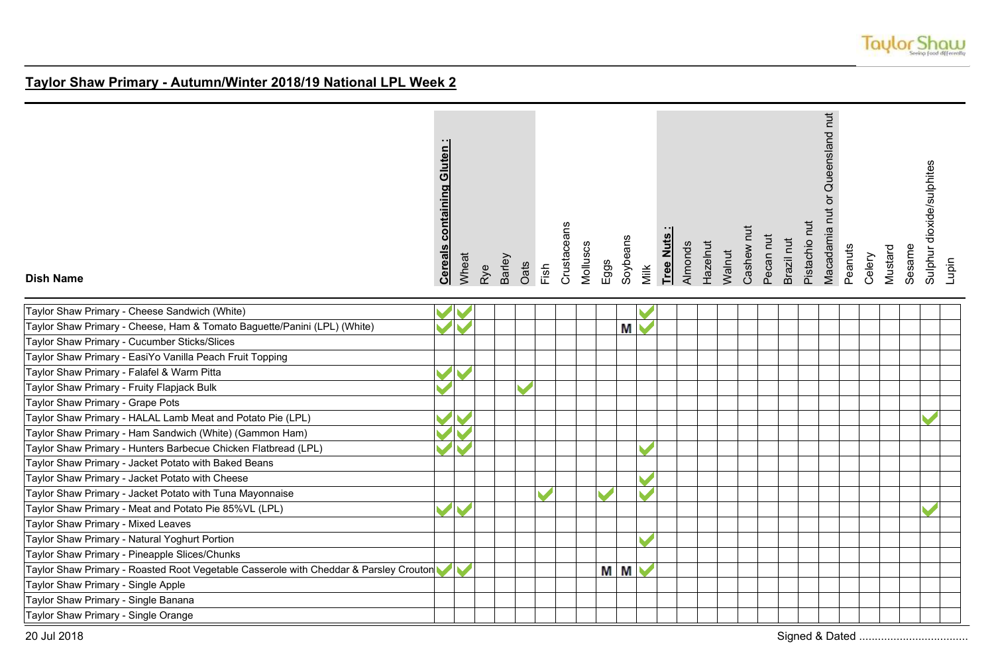

| <b>Dish Name</b>                                                                      | containing Gluten:<br><b>Cereals</b> | Wheat | Rye | Barley | Oats | Fish | Crustaceans | Molluscs | Eggs | Soybeans | Milk                     | Tree Nuts | Almonds | Hazelnut | Walnut | Cashew nut | Pecan nut | Brazil nut | Pistachio nut | Macadamia nut or Queensland nut | Peanuts | Celery | Mustard | Sesame | Sulphur dioxide/sulphites<br>Lupin |  |
|---------------------------------------------------------------------------------------|--------------------------------------|-------|-----|--------|------|------|-------------|----------|------|----------|--------------------------|-----------|---------|----------|--------|------------|-----------|------------|---------------|---------------------------------|---------|--------|---------|--------|------------------------------------|--|
| Taylor Shaw Primary - Cheese Sandwich (White)                                         |                                      |       |     |        |      |      |             |          |      |          |                          |           |         |          |        |            |           |            |               |                                 |         |        |         |        |                                    |  |
| Taylor Shaw Primary - Cheese, Ham & Tomato Baguette/Panini (LPL) (White)              |                                      |       |     |        |      |      |             |          |      | M        |                          |           |         |          |        |            |           |            |               |                                 |         |        |         |        |                                    |  |
| Taylor Shaw Primary - Cucumber Sticks/Slices                                          |                                      |       |     |        |      |      |             |          |      |          |                          |           |         |          |        |            |           |            |               |                                 |         |        |         |        |                                    |  |
| Taylor Shaw Primary - EasiYo Vanilla Peach Fruit Topping                              |                                      |       |     |        |      |      |             |          |      |          |                          |           |         |          |        |            |           |            |               |                                 |         |        |         |        |                                    |  |
| Taylor Shaw Primary - Falafel & Warm Pitta                                            |                                      |       |     |        |      |      |             |          |      |          |                          |           |         |          |        |            |           |            |               |                                 |         |        |         |        |                                    |  |
| Taylor Shaw Primary - Fruity Flapjack Bulk                                            |                                      |       |     |        |      |      |             |          |      |          |                          |           |         |          |        |            |           |            |               |                                 |         |        |         |        |                                    |  |
| Taylor Shaw Primary - Grape Pots                                                      |                                      |       |     |        |      |      |             |          |      |          |                          |           |         |          |        |            |           |            |               |                                 |         |        |         |        |                                    |  |
| Taylor Shaw Primary - HALAL Lamb Meat and Potato Pie (LPL)                            |                                      |       |     |        |      |      |             |          |      |          |                          |           |         |          |        |            |           |            |               |                                 |         |        |         |        |                                    |  |
| Taylor Shaw Primary - Ham Sandwich (White) (Gammon Ham)                               |                                      |       |     |        |      |      |             |          |      |          |                          |           |         |          |        |            |           |            |               |                                 |         |        |         |        |                                    |  |
| Taylor Shaw Primary - Hunters Barbecue Chicken Flatbread (LPL)                        |                                      |       |     |        |      |      |             |          |      |          |                          |           |         |          |        |            |           |            |               |                                 |         |        |         |        |                                    |  |
| Taylor Shaw Primary - Jacket Potato with Baked Beans                                  |                                      |       |     |        |      |      |             |          |      |          |                          |           |         |          |        |            |           |            |               |                                 |         |        |         |        |                                    |  |
| Taylor Shaw Primary - Jacket Potato with Cheese                                       |                                      |       |     |        |      |      |             |          |      |          |                          |           |         |          |        |            |           |            |               |                                 |         |        |         |        |                                    |  |
| Taylor Shaw Primary - Jacket Potato with Tuna Mayonnaise                              |                                      |       |     |        |      |      |             |          |      |          |                          |           |         |          |        |            |           |            |               |                                 |         |        |         |        |                                    |  |
| Taylor Shaw Primary - Meat and Potato Pie 85%VL (LPL)                                 |                                      |       |     |        |      |      |             |          |      |          |                          |           |         |          |        |            |           |            |               |                                 |         |        |         |        |                                    |  |
| Taylor Shaw Primary - Mixed Leaves                                                    |                                      |       |     |        |      |      |             |          |      |          |                          |           |         |          |        |            |           |            |               |                                 |         |        |         |        |                                    |  |
| Taylor Shaw Primary - Natural Yoghurt Portion                                         |                                      |       |     |        |      |      |             |          |      |          | $\overline{\phantom{a}}$ |           |         |          |        |            |           |            |               |                                 |         |        |         |        |                                    |  |
| Taylor Shaw Primary - Pineapple Slices/Chunks                                         |                                      |       |     |        |      |      |             |          |      |          |                          |           |         |          |        |            |           |            |               |                                 |         |        |         |        |                                    |  |
| Taylor Shaw Primary - Roasted Root Vegetable Casserole with Cheddar & Parsley Crouton |                                      |       |     |        |      |      |             |          | M M  |          |                          |           |         |          |        |            |           |            |               |                                 |         |        |         |        |                                    |  |
| Taylor Shaw Primary - Single Apple                                                    |                                      |       |     |        |      |      |             |          |      |          |                          |           |         |          |        |            |           |            |               |                                 |         |        |         |        |                                    |  |
| Taylor Shaw Primary - Single Banana                                                   |                                      |       |     |        |      |      |             |          |      |          |                          |           |         |          |        |            |           |            |               |                                 |         |        |         |        |                                    |  |
| Taylor Shaw Primary - Single Orange                                                   |                                      |       |     |        |      |      |             |          |      |          |                          |           |         |          |        |            |           |            |               |                                 |         |        |         |        |                                    |  |
| 20 Jul 2018                                                                           |                                      |       |     |        |      |      |             |          |      |          |                          |           |         |          |        |            |           |            |               |                                 |         |        |         |        |                                    |  |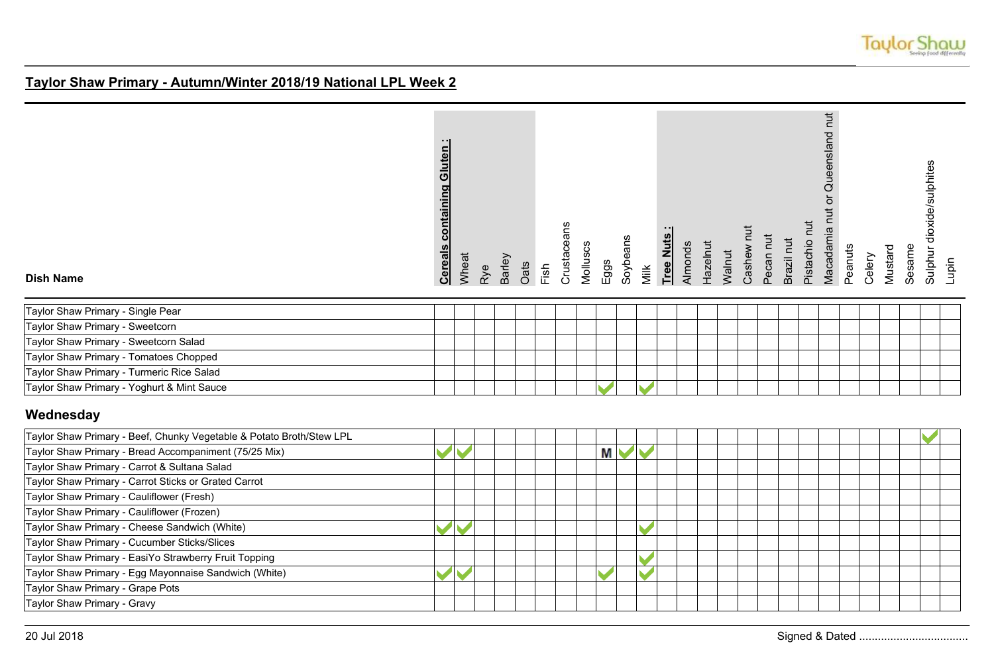

| <b>Dish Name</b>                                                     | <b>Cereals containing Gluten</b> | Wheat | Rye | Barley | Oats | Fish | Crustaceans | Molluscs | Eggs | Soybeans   | Milk                  | Tree Nuts | Almonds | Hazelnut | Walnut | Cashew nut | Pecan nut | Brazil nut | Pistachio nut | Macadamia nut or Queensland nut | Peanuts | Celery | Mustard | Sesame | Sulphur dioxide/sulphites | Lupin |
|----------------------------------------------------------------------|----------------------------------|-------|-----|--------|------|------|-------------|----------|------|------------|-----------------------|-----------|---------|----------|--------|------------|-----------|------------|---------------|---------------------------------|---------|--------|---------|--------|---------------------------|-------|
| Taylor Shaw Primary - Single Pear                                    |                                  |       |     |        |      |      |             |          |      |            |                       |           |         |          |        |            |           |            |               |                                 |         |        |         |        |                           |       |
| Taylor Shaw Primary - Sweetcorn                                      |                                  |       |     |        |      |      |             |          |      |            |                       |           |         |          |        |            |           |            |               |                                 |         |        |         |        |                           |       |
| Taylor Shaw Primary - Sweetcorn Salad                                |                                  |       |     |        |      |      |             |          |      |            |                       |           |         |          |        |            |           |            |               |                                 |         |        |         |        |                           |       |
| Taylor Shaw Primary - Tomatoes Chopped                               |                                  |       |     |        |      |      |             |          |      |            |                       |           |         |          |        |            |           |            |               |                                 |         |        |         |        |                           |       |
| Taylor Shaw Primary - Turmeric Rice Salad                            |                                  |       |     |        |      |      |             |          |      |            |                       |           |         |          |        |            |           |            |               |                                 |         |        |         |        |                           |       |
| Taylor Shaw Primary - Yoghurt & Mint Sauce                           |                                  |       |     |        |      |      |             |          |      |            |                       |           |         |          |        |            |           |            |               |                                 |         |        |         |        |                           |       |
| Wednesday                                                            |                                  |       |     |        |      |      |             |          |      |            |                       |           |         |          |        |            |           |            |               |                                 |         |        |         |        |                           |       |
| Taylor Shaw Primary - Beef, Chunky Vegetable & Potato Broth/Stew LPL |                                  |       |     |        |      |      |             |          |      |            |                       |           |         |          |        |            |           |            |               |                                 |         |        |         |        |                           |       |
| Taylor Shaw Primary - Bread Accompaniment (75/25 Mix)                | $\blacktriangledown$             |       |     |        |      |      |             |          | М    | $\sqrt{2}$ |                       |           |         |          |        |            |           |            |               |                                 |         |        |         |        |                           |       |
| Taylor Shaw Primary - Carrot & Sultana Salad                         |                                  |       |     |        |      |      |             |          |      |            |                       |           |         |          |        |            |           |            |               |                                 |         |        |         |        |                           |       |
| Taylor Shaw Primary - Carrot Sticks or Grated Carrot                 |                                  |       |     |        |      |      |             |          |      |            |                       |           |         |          |        |            |           |            |               |                                 |         |        |         |        |                           |       |
| Taylor Shaw Primary - Cauliflower (Fresh)                            |                                  |       |     |        |      |      |             |          |      |            |                       |           |         |          |        |            |           |            |               |                                 |         |        |         |        |                           |       |
| Taylor Shaw Primary - Cauliflower (Frozen)                           |                                  |       |     |        |      |      |             |          |      |            |                       |           |         |          |        |            |           |            |               |                                 |         |        |         |        |                           |       |
| Taylor Shaw Primary - Cheese Sandwich (White)                        |                                  |       |     |        |      |      |             |          |      |            |                       |           |         |          |        |            |           |            |               |                                 |         |        |         |        |                           |       |
| Taylor Shaw Primary - Cucumber Sticks/Slices                         |                                  |       |     |        |      |      |             |          |      |            |                       |           |         |          |        |            |           |            |               |                                 |         |        |         |        |                           |       |
| Taylor Shaw Primary - EasiYo Strawberry Fruit Topping                |                                  |       |     |        |      |      |             |          |      |            |                       |           |         |          |        |            |           |            |               |                                 |         |        |         |        |                           |       |
| Taylor Shaw Primary - Egg Mayonnaise Sandwich (White)                |                                  |       |     |        |      |      |             |          |      |            | $\blacktriangleright$ |           |         |          |        |            |           |            |               |                                 |         |        |         |        |                           |       |
| Taylor Shaw Primary - Grape Pots                                     |                                  |       |     |        |      |      |             |          |      |            |                       |           |         |          |        |            |           |            |               |                                 |         |        |         |        |                           |       |
| Taylor Shaw Primary - Gravy                                          |                                  |       |     |        |      |      |             |          |      |            |                       |           |         |          |        |            |           |            |               |                                 |         |        |         |        |                           |       |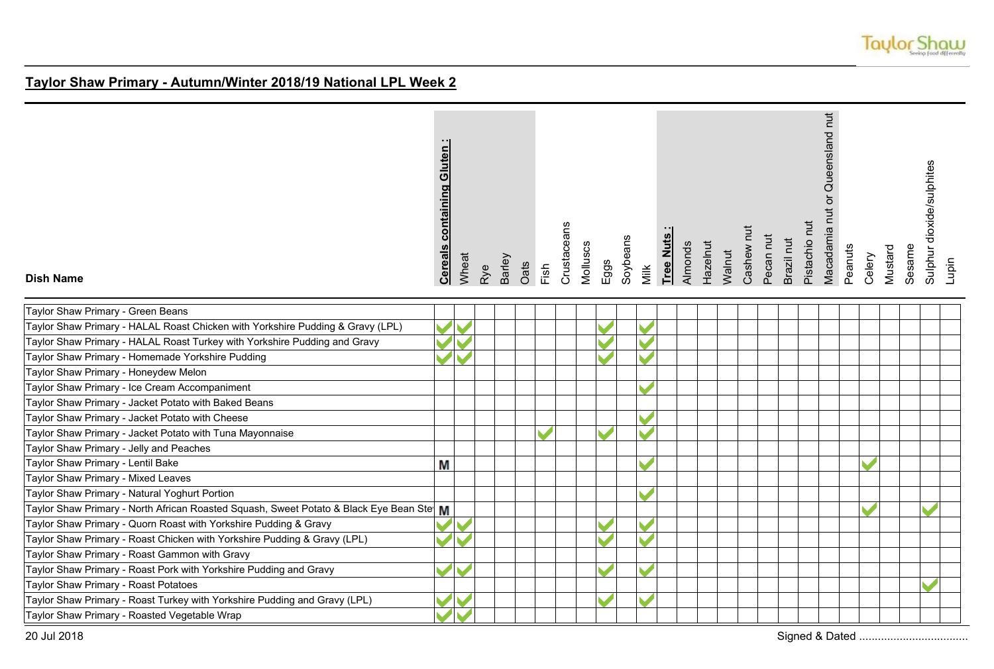

| <b>Dish Name</b>                                                                          | <b>containing Gluten</b><br><b>Cereals</b> | Wheat | Rye | Barley | Oats | Fish | Crustaceans | Molluscs | Eggs | Soybeans | Milk | Tree Nuts | Almonds | Hazelnut | Walnut | Cashew nut | Pecan nut | Brazil nut | Pistachio nut | Macadamia nut or Queensland nut | Peanuts | Celery | Mustard | Sesame | Sulphur dioxide/sulphites<br>Lupin |  |
|-------------------------------------------------------------------------------------------|--------------------------------------------|-------|-----|--------|------|------|-------------|----------|------|----------|------|-----------|---------|----------|--------|------------|-----------|------------|---------------|---------------------------------|---------|--------|---------|--------|------------------------------------|--|
| Taylor Shaw Primary - Green Beans                                                         |                                            |       |     |        |      |      |             |          |      |          |      |           |         |          |        |            |           |            |               |                                 |         |        |         |        |                                    |  |
| Taylor Shaw Primary - HALAL Roast Chicken with Yorkshire Pudding & Gravy (LPL)            |                                            |       |     |        |      |      |             |          |      |          |      |           |         |          |        |            |           |            |               |                                 |         |        |         |        |                                    |  |
| Taylor Shaw Primary - HALAL Roast Turkey with Yorkshire Pudding and Gravy                 |                                            |       |     |        |      |      |             |          |      |          |      |           |         |          |        |            |           |            |               |                                 |         |        |         |        |                                    |  |
| Taylor Shaw Primary - Homemade Yorkshire Pudding                                          |                                            |       |     |        |      |      |             |          |      |          |      |           |         |          |        |            |           |            |               |                                 |         |        |         |        |                                    |  |
| Taylor Shaw Primary - Honeydew Melon                                                      |                                            |       |     |        |      |      |             |          |      |          |      |           |         |          |        |            |           |            |               |                                 |         |        |         |        |                                    |  |
| Taylor Shaw Primary - Ice Cream Accompaniment                                             |                                            |       |     |        |      |      |             |          |      |          |      |           |         |          |        |            |           |            |               |                                 |         |        |         |        |                                    |  |
| Taylor Shaw Primary - Jacket Potato with Baked Beans                                      |                                            |       |     |        |      |      |             |          |      |          |      |           |         |          |        |            |           |            |               |                                 |         |        |         |        |                                    |  |
| Taylor Shaw Primary - Jacket Potato with Cheese                                           |                                            |       |     |        |      |      |             |          |      |          |      |           |         |          |        |            |           |            |               |                                 |         |        |         |        |                                    |  |
| Taylor Shaw Primary - Jacket Potato with Tuna Mayonnaise                                  |                                            |       |     |        |      |      |             |          |      |          |      |           |         |          |        |            |           |            |               |                                 |         |        |         |        |                                    |  |
| Taylor Shaw Primary - Jelly and Peaches                                                   |                                            |       |     |        |      |      |             |          |      |          |      |           |         |          |        |            |           |            |               |                                 |         |        |         |        |                                    |  |
| Taylor Shaw Primary - Lentil Bake                                                         | M                                          |       |     |        |      |      |             |          |      |          |      |           |         |          |        |            |           |            |               |                                 |         |        |         |        |                                    |  |
| Taylor Shaw Primary - Mixed Leaves                                                        |                                            |       |     |        |      |      |             |          |      |          |      |           |         |          |        |            |           |            |               |                                 |         |        |         |        |                                    |  |
| Taylor Shaw Primary - Natural Yoghurt Portion                                             |                                            |       |     |        |      |      |             |          |      |          |      |           |         |          |        |            |           |            |               |                                 |         |        |         |        |                                    |  |
| Taylor Shaw Primary - North African Roasted Squash, Sweet Potato & Black Eye Bean Ste   M |                                            |       |     |        |      |      |             |          |      |          |      |           |         |          |        |            |           |            |               |                                 |         |        |         |        |                                    |  |
| Taylor Shaw Primary - Quorn Roast with Yorkshire Pudding & Gravy                          |                                            |       |     |        |      |      |             |          |      |          |      |           |         |          |        |            |           |            |               |                                 |         |        |         |        |                                    |  |
| Taylor Shaw Primary - Roast Chicken with Yorkshire Pudding & Gravy (LPL)                  |                                            |       |     |        |      |      |             |          |      |          |      |           |         |          |        |            |           |            |               |                                 |         |        |         |        |                                    |  |
| Taylor Shaw Primary - Roast Gammon with Gravy                                             |                                            |       |     |        |      |      |             |          |      |          |      |           |         |          |        |            |           |            |               |                                 |         |        |         |        |                                    |  |
| Taylor Shaw Primary - Roast Pork with Yorkshire Pudding and Gravy                         |                                            |       |     |        |      |      |             |          |      |          |      |           |         |          |        |            |           |            |               |                                 |         |        |         |        |                                    |  |
| Taylor Shaw Primary - Roast Potatoes                                                      |                                            |       |     |        |      |      |             |          |      |          |      |           |         |          |        |            |           |            |               |                                 |         |        |         |        |                                    |  |
| Taylor Shaw Primary - Roast Turkey with Yorkshire Pudding and Gravy (LPL)                 |                                            |       |     |        |      |      |             |          |      |          |      |           |         |          |        |            |           |            |               |                                 |         |        |         |        |                                    |  |
| Taylor Shaw Primary - Roasted Vegetable Wrap                                              |                                            |       |     |        |      |      |             |          |      |          |      |           |         |          |        |            |           |            |               |                                 |         |        |         |        |                                    |  |
| 20 Jul 2018                                                                               |                                            |       |     |        |      |      |             |          |      |          |      |           |         |          |        |            |           |            |               |                                 |         |        |         |        |                                    |  |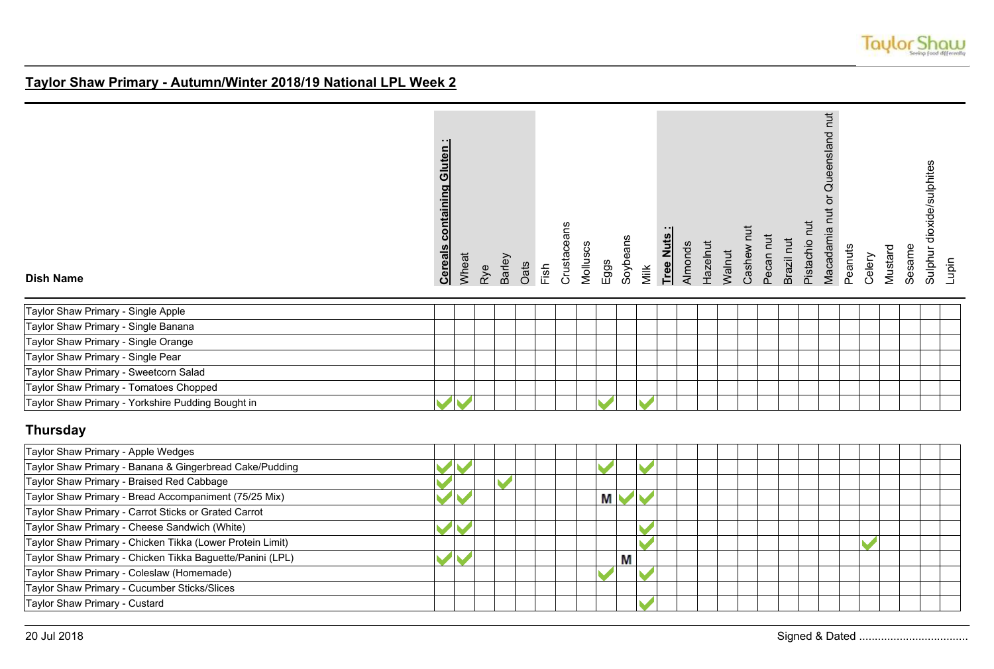

| <b>Dish Name</b>                                          | <b>Cereals containing Gluten:</b> | Wheat | Rye | Barley | Oats | Fish | Crustaceans | Molluscs | Eggs                 | Soybeans | Milk | Tree Nuts | Almonds | Hazelnut | Walnut | Cashew nut | Pecan nut | Brazil nut | Pistachio nut | Macadamia nut or Queensland nut | Peanuts | Celery | Mustard | Sesame | Sulphur dioxide/sulphites | Lupin |
|-----------------------------------------------------------|-----------------------------------|-------|-----|--------|------|------|-------------|----------|----------------------|----------|------|-----------|---------|----------|--------|------------|-----------|------------|---------------|---------------------------------|---------|--------|---------|--------|---------------------------|-------|
| Taylor Shaw Primary - Single Apple                        |                                   |       |     |        |      |      |             |          |                      |          |      |           |         |          |        |            |           |            |               |                                 |         |        |         |        |                           |       |
| Taylor Shaw Primary - Single Banana                       |                                   |       |     |        |      |      |             |          |                      |          |      |           |         |          |        |            |           |            |               |                                 |         |        |         |        |                           |       |
| Taylor Shaw Primary - Single Orange                       |                                   |       |     |        |      |      |             |          |                      |          |      |           |         |          |        |            |           |            |               |                                 |         |        |         |        |                           |       |
| Taylor Shaw Primary - Single Pear                         |                                   |       |     |        |      |      |             |          |                      |          |      |           |         |          |        |            |           |            |               |                                 |         |        |         |        |                           |       |
| Taylor Shaw Primary - Sweetcorn Salad                     |                                   |       |     |        |      |      |             |          |                      |          |      |           |         |          |        |            |           |            |               |                                 |         |        |         |        |                           |       |
| Taylor Shaw Primary - Tomatoes Chopped                    |                                   |       |     |        |      |      |             |          |                      |          |      |           |         |          |        |            |           |            |               |                                 |         |        |         |        |                           |       |
| Taylor Shaw Primary - Yorkshire Pudding Bought in         |                                   |       |     |        |      |      |             |          |                      |          |      |           |         |          |        |            |           |            |               |                                 |         |        |         |        |                           |       |
| <b>Thursday</b>                                           |                                   |       |     |        |      |      |             |          |                      |          |      |           |         |          |        |            |           |            |               |                                 |         |        |         |        |                           |       |
| Taylor Shaw Primary - Apple Wedges                        |                                   |       |     |        |      |      |             |          |                      |          |      |           |         |          |        |            |           |            |               |                                 |         |        |         |        |                           |       |
| Taylor Shaw Primary - Banana & Gingerbread Cake/Pudding   |                                   |       |     |        |      |      |             |          | $\blacktriangledown$ |          |      |           |         |          |        |            |           |            |               |                                 |         |        |         |        |                           |       |
| Taylor Shaw Primary - Braised Red Cabbage                 |                                   |       |     |        |      |      |             |          |                      |          |      |           |         |          |        |            |           |            |               |                                 |         |        |         |        |                           |       |
| Taylor Shaw Primary - Bread Accompaniment (75/25 Mix)     |                                   |       |     |        |      |      |             |          | М                    |          |      |           |         |          |        |            |           |            |               |                                 |         |        |         |        |                           |       |
| Taylor Shaw Primary - Carrot Sticks or Grated Carrot      |                                   |       |     |        |      |      |             |          |                      |          |      |           |         |          |        |            |           |            |               |                                 |         |        |         |        |                           |       |
| Taylor Shaw Primary - Cheese Sandwich (White)             |                                   |       |     |        |      |      |             |          |                      |          |      |           |         |          |        |            |           |            |               |                                 |         |        |         |        |                           |       |
| Taylor Shaw Primary - Chicken Tikka (Lower Protein Limit) |                                   |       |     |        |      |      |             |          |                      |          |      |           |         |          |        |            |           |            |               |                                 |         |        |         |        |                           |       |
| Taylor Shaw Primary - Chicken Tikka Baguette/Panini (LPL) |                                   |       |     |        |      |      |             |          |                      | М        |      |           |         |          |        |            |           |            |               |                                 |         |        |         |        |                           |       |
| Taylor Shaw Primary - Coleslaw (Homemade)                 |                                   |       |     |        |      |      |             |          |                      |          |      |           |         |          |        |            |           |            |               |                                 |         |        |         |        |                           |       |
| Taylor Shaw Primary - Cucumber Sticks/Slices              |                                   |       |     |        |      |      |             |          |                      |          |      |           |         |          |        |            |           |            |               |                                 |         |        |         |        |                           |       |
| Taylor Shaw Primary - Custard                             |                                   |       |     |        |      |      |             |          |                      |          |      |           |         |          |        |            |           |            |               |                                 |         |        |         |        |                           |       |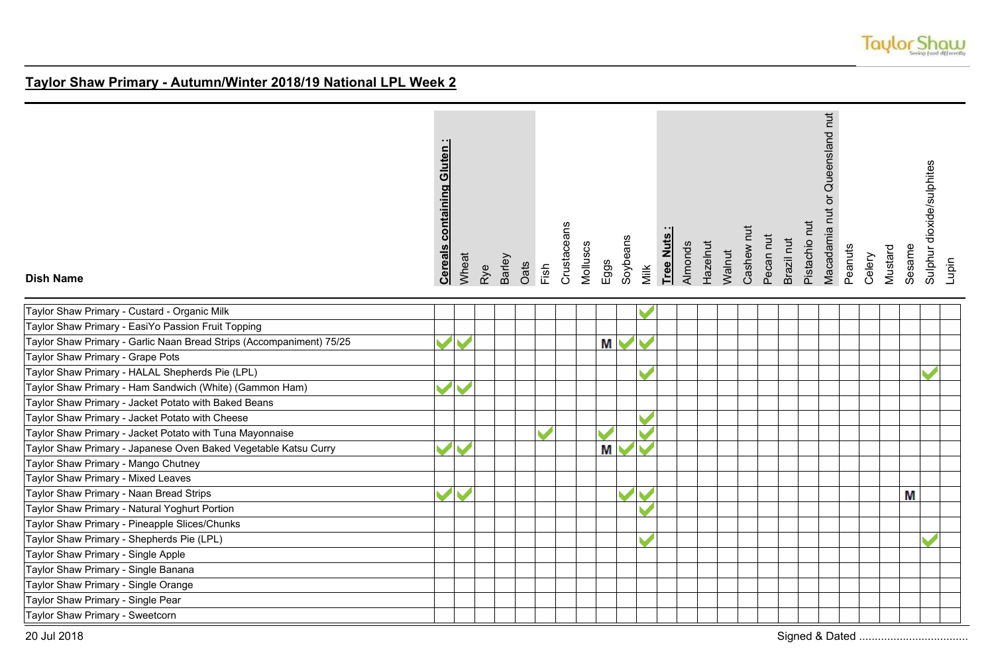

| <b>Dish Name</b>                                                     | <b>Cereals containing Gluten:</b> | Wheat | Rye | Barley | Oats | Fish | Crustaceans | Molluscs | Eggs | Soybeans | Milk | Tree Nuts | Almonds | Hazelnut | Walnut | Cashew nut | Pecan nut | Brazil nut | Pistachio nut | Macadamia nut or Queensland nut | Peanuts | Celery | Mustard | Sesame | Sulphur dioxide/sulphites | Lupin |
|----------------------------------------------------------------------|-----------------------------------|-------|-----|--------|------|------|-------------|----------|------|----------|------|-----------|---------|----------|--------|------------|-----------|------------|---------------|---------------------------------|---------|--------|---------|--------|---------------------------|-------|
| Taylor Shaw Primary - Custard - Organic Milk                         |                                   |       |     |        |      |      |             |          |      |          |      |           |         |          |        |            |           |            |               |                                 |         |        |         |        |                           |       |
| Taylor Shaw Primary - EasiYo Passion Fruit Topping                   |                                   |       |     |        |      |      |             |          |      |          |      |           |         |          |        |            |           |            |               |                                 |         |        |         |        |                           |       |
| Taylor Shaw Primary - Garlic Naan Bread Strips (Accompaniment) 75/25 |                                   |       |     |        |      |      |             |          | М    |          |      |           |         |          |        |            |           |            |               |                                 |         |        |         |        |                           |       |
| Taylor Shaw Primary - Grape Pots                                     |                                   |       |     |        |      |      |             |          |      |          |      |           |         |          |        |            |           |            |               |                                 |         |        |         |        |                           |       |
| Taylor Shaw Primary - HALAL Shepherds Pie (LPL)                      |                                   |       |     |        |      |      |             |          |      |          |      |           |         |          |        |            |           |            |               |                                 |         |        |         |        |                           |       |
| Taylor Shaw Primary - Ham Sandwich (White) (Gammon Ham)              |                                   |       |     |        |      |      |             |          |      |          |      |           |         |          |        |            |           |            |               |                                 |         |        |         |        |                           |       |
| Taylor Shaw Primary - Jacket Potato with Baked Beans                 |                                   |       |     |        |      |      |             |          |      |          |      |           |         |          |        |            |           |            |               |                                 |         |        |         |        |                           |       |
| Taylor Shaw Primary - Jacket Potato with Cheese                      |                                   |       |     |        |      |      |             |          |      |          |      |           |         |          |        |            |           |            |               |                                 |         |        |         |        |                           |       |
| Taylor Shaw Primary - Jacket Potato with Tuna Mayonnaise             |                                   |       |     |        |      |      |             |          |      |          |      |           |         |          |        |            |           |            |               |                                 |         |        |         |        |                           |       |
| Taylor Shaw Primary - Japanese Oven Baked Vegetable Katsu Curry      |                                   |       |     |        |      |      |             |          | M    |          |      |           |         |          |        |            |           |            |               |                                 |         |        |         |        |                           |       |
| Taylor Shaw Primary - Mango Chutney                                  |                                   |       |     |        |      |      |             |          |      |          |      |           |         |          |        |            |           |            |               |                                 |         |        |         |        |                           |       |
| Taylor Shaw Primary - Mixed Leaves                                   |                                   |       |     |        |      |      |             |          |      |          |      |           |         |          |        |            |           |            |               |                                 |         |        |         |        |                           |       |
| Taylor Shaw Primary - Naan Bread Strips                              |                                   |       |     |        |      |      |             |          |      |          |      |           |         |          |        |            |           |            |               |                                 |         |        |         | Μ      |                           |       |
| Taylor Shaw Primary - Natural Yoghurt Portion                        |                                   |       |     |        |      |      |             |          |      |          |      |           |         |          |        |            |           |            |               |                                 |         |        |         |        |                           |       |
| Taylor Shaw Primary - Pineapple Slices/Chunks                        |                                   |       |     |        |      |      |             |          |      |          |      |           |         |          |        |            |           |            |               |                                 |         |        |         |        |                           |       |
| Taylor Shaw Primary - Shepherds Pie (LPL)                            |                                   |       |     |        |      |      |             |          |      |          |      |           |         |          |        |            |           |            |               |                                 |         |        |         |        |                           |       |
| Taylor Shaw Primary - Single Apple                                   |                                   |       |     |        |      |      |             |          |      |          |      |           |         |          |        |            |           |            |               |                                 |         |        |         |        |                           |       |
| Taylor Shaw Primary - Single Banana                                  |                                   |       |     |        |      |      |             |          |      |          |      |           |         |          |        |            |           |            |               |                                 |         |        |         |        |                           |       |
| Taylor Shaw Primary - Single Orange                                  |                                   |       |     |        |      |      |             |          |      |          |      |           |         |          |        |            |           |            |               |                                 |         |        |         |        |                           |       |
| Taylor Shaw Primary - Single Pear                                    |                                   |       |     |        |      |      |             |          |      |          |      |           |         |          |        |            |           |            |               |                                 |         |        |         |        |                           |       |
| Taylor Shaw Primary - Sweetcorn                                      |                                   |       |     |        |      |      |             |          |      |          |      |           |         |          |        |            |           |            |               |                                 |         |        |         |        |                           |       |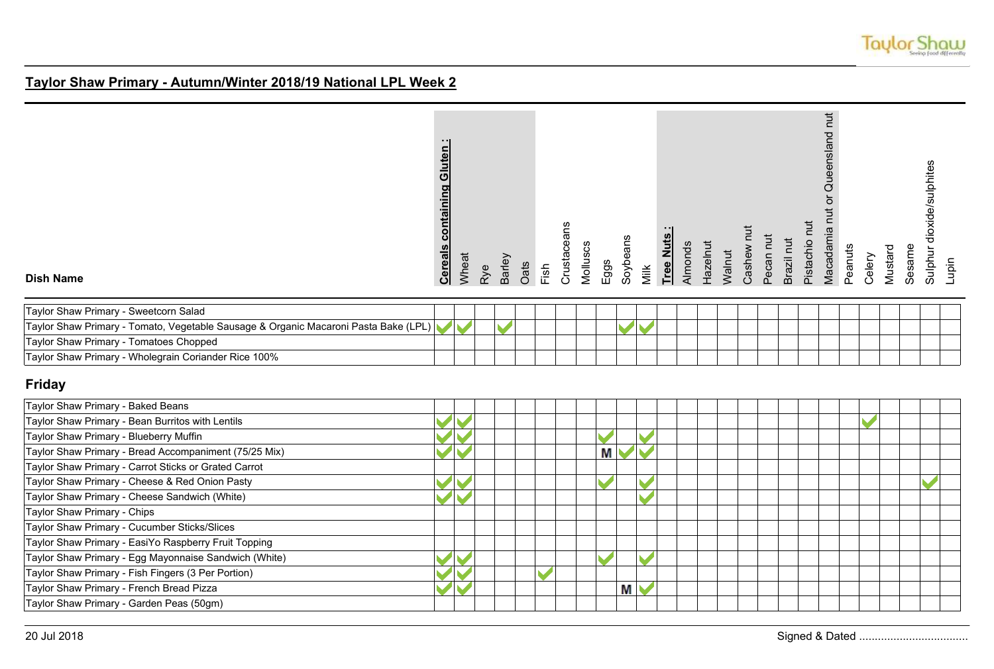

| <b>Dish Name</b>                                                                    | <b>Cereals containing Gluten:</b> | Wheat | Rye | Barley | Oats | Fish | Crustaceans | Molluscs | Eggs | Soybeans | Milk | Tree Nuts | Almonds | Hazelnut | Walnut | Cashew nut | Pecan nut | Brazil nut | Pistachio nut | Macadamia nut or Queensland nut | Peanuts | Celery | Mustard | Sesame | Sulphur dioxide/sulphites | Lupin |
|-------------------------------------------------------------------------------------|-----------------------------------|-------|-----|--------|------|------|-------------|----------|------|----------|------|-----------|---------|----------|--------|------------|-----------|------------|---------------|---------------------------------|---------|--------|---------|--------|---------------------------|-------|
| Taylor Shaw Primary - Sweetcorn Salad                                               |                                   |       |     |        |      |      |             |          |      |          |      |           |         |          |        |            |           |            |               |                                 |         |        |         |        |                           |       |
| Taylor Shaw Primary - Tomato, Vegetable Sausage & Organic Macaroni Pasta Bake (LPL) |                                   |       |     |        |      |      |             |          |      |          |      |           |         |          |        |            |           |            |               |                                 |         |        |         |        |                           |       |
| Taylor Shaw Primary - Tomatoes Chopped                                              |                                   |       |     |        |      |      |             |          |      |          |      |           |         |          |        |            |           |            |               |                                 |         |        |         |        |                           |       |
| Taylor Shaw Primary - Wholegrain Coriander Rice 100%                                |                                   |       |     |        |      |      |             |          |      |          |      |           |         |          |        |            |           |            |               |                                 |         |        |         |        |                           |       |
| <b>Friday</b>                                                                       |                                   |       |     |        |      |      |             |          |      |          |      |           |         |          |        |            |           |            |               |                                 |         |        |         |        |                           |       |
| Taylor Shaw Primary - Baked Beans                                                   |                                   |       |     |        |      |      |             |          |      |          |      |           |         |          |        |            |           |            |               |                                 |         |        |         |        |                           |       |
| Taylor Shaw Primary - Bean Burritos with Lentils                                    |                                   |       |     |        |      |      |             |          |      |          |      |           |         |          |        |            |           |            |               |                                 |         |        |         |        |                           |       |
| Taylor Shaw Primary - Blueberry Muffin                                              |                                   |       |     |        |      |      |             |          |      |          |      |           |         |          |        |            |           |            |               |                                 |         |        |         |        |                           |       |
| Taylor Shaw Primary - Bread Accompaniment (75/25 Mix)                               |                                   |       |     |        |      |      |             |          | M    |          |      |           |         |          |        |            |           |            |               |                                 |         |        |         |        |                           |       |
| Taylor Shaw Primary - Carrot Sticks or Grated Carrot                                |                                   |       |     |        |      |      |             |          |      |          |      |           |         |          |        |            |           |            |               |                                 |         |        |         |        |                           |       |
| Taylor Shaw Primary - Cheese & Red Onion Pasty                                      |                                   |       |     |        |      |      |             |          |      |          |      |           |         |          |        |            |           |            |               |                                 |         |        |         |        |                           |       |
| Taylor Shaw Primary - Cheese Sandwich (White)                                       |                                   |       |     |        |      |      |             |          |      |          |      |           |         |          |        |            |           |            |               |                                 |         |        |         |        |                           |       |
| Taylor Shaw Primary - Chips                                                         |                                   |       |     |        |      |      |             |          |      |          |      |           |         |          |        |            |           |            |               |                                 |         |        |         |        |                           |       |
| Taylor Shaw Primary - Cucumber Sticks/Slices                                        |                                   |       |     |        |      |      |             |          |      |          |      |           |         |          |        |            |           |            |               |                                 |         |        |         |        |                           |       |
| Taylor Shaw Primary - EasiYo Raspberry Fruit Topping                                |                                   |       |     |        |      |      |             |          |      |          |      |           |         |          |        |            |           |            |               |                                 |         |        |         |        |                           |       |
| Taylor Shaw Primary - Egg Mayonnaise Sandwich (White)                               |                                   |       |     |        |      |      |             |          |      |          |      |           |         |          |        |            |           |            |               |                                 |         |        |         |        |                           |       |
| Taylor Shaw Primary - Fish Fingers (3 Per Portion)                                  |                                   |       |     |        |      |      |             |          |      |          |      |           |         |          |        |            |           |            |               |                                 |         |        |         |        |                           |       |
| Taylor Shaw Primary - French Bread Pizza                                            |                                   |       |     |        |      |      |             |          |      | М        |      |           |         |          |        |            |           |            |               |                                 |         |        |         |        |                           |       |
| Taylor Shaw Primary - Garden Peas (50gm)                                            |                                   |       |     |        |      |      |             |          |      |          |      |           |         |          |        |            |           |            |               |                                 |         |        |         |        |                           |       |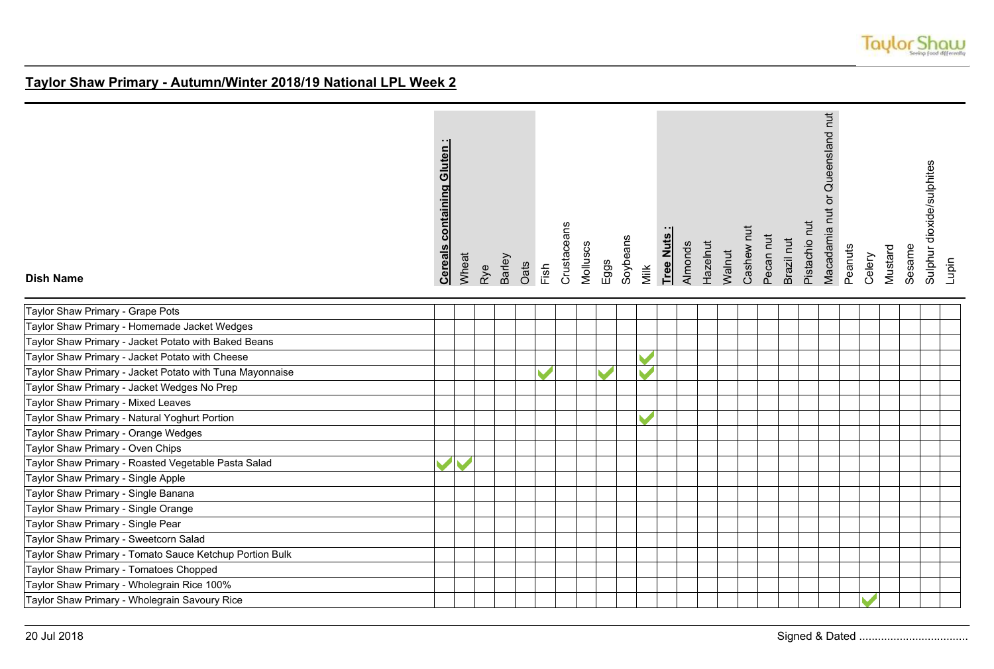

| <b>Dish Name</b>                                         | <b>Cereals containing Gluten:</b> | Wheat | Rye | Barley | Oats | Fish | Crustaceans | Molluscs | $E$ ggs                  | Soybeans | Milk | Tree Nuts | Almonds | Hazelnut | Walnut | Cashew nut | Pecan nut | Brazil nut | Pistachio nut | Macadamia nut or Queensland nut | Peanuts | Celery | Mustard | Sesame | Sulphur dioxide/sulphites<br>Lupin |  |
|----------------------------------------------------------|-----------------------------------|-------|-----|--------|------|------|-------------|----------|--------------------------|----------|------|-----------|---------|----------|--------|------------|-----------|------------|---------------|---------------------------------|---------|--------|---------|--------|------------------------------------|--|
| Taylor Shaw Primary - Grape Pots                         |                                   |       |     |        |      |      |             |          |                          |          |      |           |         |          |        |            |           |            |               |                                 |         |        |         |        |                                    |  |
| Taylor Shaw Primary - Homemade Jacket Wedges             |                                   |       |     |        |      |      |             |          |                          |          |      |           |         |          |        |            |           |            |               |                                 |         |        |         |        |                                    |  |
| Taylor Shaw Primary - Jacket Potato with Baked Beans     |                                   |       |     |        |      |      |             |          |                          |          |      |           |         |          |        |            |           |            |               |                                 |         |        |         |        |                                    |  |
| Taylor Shaw Primary - Jacket Potato with Cheese          |                                   |       |     |        |      |      |             |          |                          |          |      |           |         |          |        |            |           |            |               |                                 |         |        |         |        |                                    |  |
| Taylor Shaw Primary - Jacket Potato with Tuna Mayonnaise |                                   |       |     |        |      |      |             |          | $\overline{\phantom{a}}$ |          |      |           |         |          |        |            |           |            |               |                                 |         |        |         |        |                                    |  |
| Taylor Shaw Primary - Jacket Wedges No Prep              |                                   |       |     |        |      |      |             |          |                          |          |      |           |         |          |        |            |           |            |               |                                 |         |        |         |        |                                    |  |
| Taylor Shaw Primary - Mixed Leaves                       |                                   |       |     |        |      |      |             |          |                          |          |      |           |         |          |        |            |           |            |               |                                 |         |        |         |        |                                    |  |
| Taylor Shaw Primary - Natural Yoghurt Portion            |                                   |       |     |        |      |      |             |          |                          |          |      |           |         |          |        |            |           |            |               |                                 |         |        |         |        |                                    |  |
| Taylor Shaw Primary - Orange Wedges                      |                                   |       |     |        |      |      |             |          |                          |          |      |           |         |          |        |            |           |            |               |                                 |         |        |         |        |                                    |  |
| Taylor Shaw Primary - Oven Chips                         |                                   |       |     |        |      |      |             |          |                          |          |      |           |         |          |        |            |           |            |               |                                 |         |        |         |        |                                    |  |
| Taylor Shaw Primary - Roasted Vegetable Pasta Salad      |                                   |       |     |        |      |      |             |          |                          |          |      |           |         |          |        |            |           |            |               |                                 |         |        |         |        |                                    |  |
| Taylor Shaw Primary - Single Apple                       |                                   |       |     |        |      |      |             |          |                          |          |      |           |         |          |        |            |           |            |               |                                 |         |        |         |        |                                    |  |
| Taylor Shaw Primary - Single Banana                      |                                   |       |     |        |      |      |             |          |                          |          |      |           |         |          |        |            |           |            |               |                                 |         |        |         |        |                                    |  |
| Taylor Shaw Primary - Single Orange                      |                                   |       |     |        |      |      |             |          |                          |          |      |           |         |          |        |            |           |            |               |                                 |         |        |         |        |                                    |  |
| Taylor Shaw Primary - Single Pear                        |                                   |       |     |        |      |      |             |          |                          |          |      |           |         |          |        |            |           |            |               |                                 |         |        |         |        |                                    |  |
| Taylor Shaw Primary - Sweetcorn Salad                    |                                   |       |     |        |      |      |             |          |                          |          |      |           |         |          |        |            |           |            |               |                                 |         |        |         |        |                                    |  |
| Taylor Shaw Primary - Tomato Sauce Ketchup Portion Bulk  |                                   |       |     |        |      |      |             |          |                          |          |      |           |         |          |        |            |           |            |               |                                 |         |        |         |        |                                    |  |
| Taylor Shaw Primary - Tomatoes Chopped                   |                                   |       |     |        |      |      |             |          |                          |          |      |           |         |          |        |            |           |            |               |                                 |         |        |         |        |                                    |  |
| Taylor Shaw Primary - Wholegrain Rice 100%               |                                   |       |     |        |      |      |             |          |                          |          |      |           |         |          |        |            |           |            |               |                                 |         |        |         |        |                                    |  |
| Taylor Shaw Primary - Wholegrain Savoury Rice            |                                   |       |     |        |      |      |             |          |                          |          |      |           |         |          |        |            |           |            |               |                                 |         |        |         |        |                                    |  |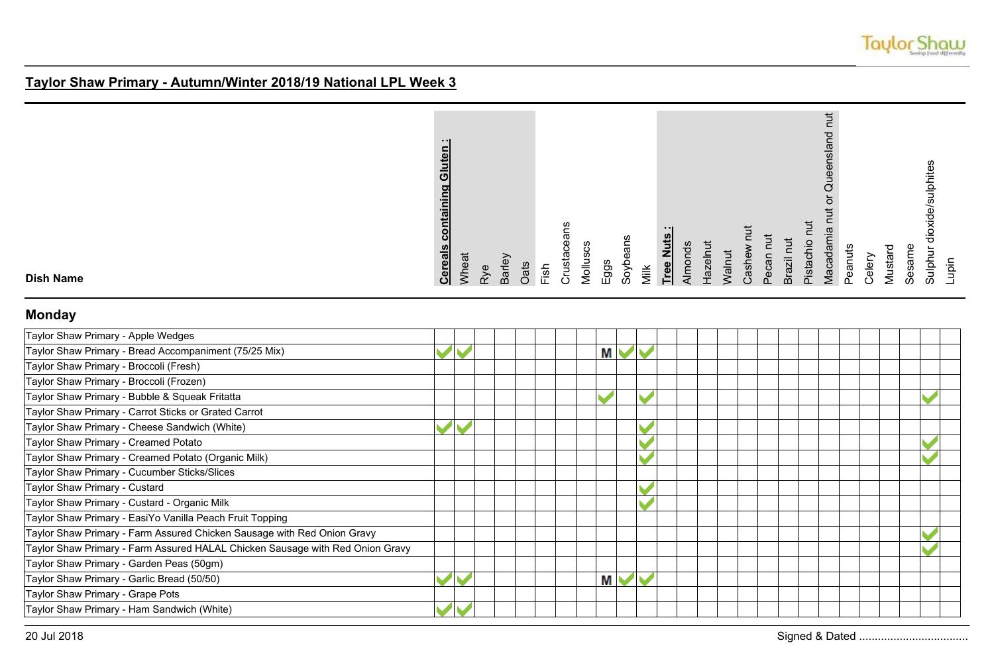

| containing Gluten<br><b>Cereals</b> |
|-------------------------------------|
| Wheat                               |
| Rye                                 |
| Barley                              |
| Oats                                |
| Fish                                |
| Crustaceans                         |
| Molluscs                            |
| Eggs                                |
| Soybeans                            |
| Milk                                |
| $\cdot$ $\cdot$ I<br>Tree Nuts      |
| Almonds                             |
| Hazelnut                            |
| Walnut                              |
| Cashew nu                           |
| Pecan nut                           |
| Brazil nut                          |
| Pistachio nut                       |
| ち<br>nut or Queensland<br>Macadamia |
| Peanuts                             |
| Celery                              |
| Mustard                             |
| Sesame                              |
| Sulphur dioxide/sulphites           |
| Lupin                               |
|                                     |

**Dish Name**

### **Monday**

| Taylor Shaw Primary - Apple Wedges                                            |  |  |  |   |  |  |  |  |  |  |  |
|-------------------------------------------------------------------------------|--|--|--|---|--|--|--|--|--|--|--|
| Taylor Shaw Primary - Bread Accompaniment (75/25 Mix)                         |  |  |  | М |  |  |  |  |  |  |  |
| Taylor Shaw Primary - Broccoli (Fresh)                                        |  |  |  |   |  |  |  |  |  |  |  |
| Taylor Shaw Primary - Broccoli (Frozen)                                       |  |  |  |   |  |  |  |  |  |  |  |
| Taylor Shaw Primary - Bubble & Squeak Fritatta                                |  |  |  |   |  |  |  |  |  |  |  |
| Taylor Shaw Primary - Carrot Sticks or Grated Carrot                          |  |  |  |   |  |  |  |  |  |  |  |
| Taylor Shaw Primary - Cheese Sandwich (White)                                 |  |  |  |   |  |  |  |  |  |  |  |
| Taylor Shaw Primary - Creamed Potato                                          |  |  |  |   |  |  |  |  |  |  |  |
| Taylor Shaw Primary - Creamed Potato (Organic Milk)                           |  |  |  |   |  |  |  |  |  |  |  |
| Taylor Shaw Primary - Cucumber Sticks/Slices                                  |  |  |  |   |  |  |  |  |  |  |  |
| Taylor Shaw Primary - Custard                                                 |  |  |  |   |  |  |  |  |  |  |  |
| Taylor Shaw Primary - Custard - Organic Milk                                  |  |  |  |   |  |  |  |  |  |  |  |
| Taylor Shaw Primary - EasiYo Vanilla Peach Fruit Topping                      |  |  |  |   |  |  |  |  |  |  |  |
| Taylor Shaw Primary - Farm Assured Chicken Sausage with Red Onion Gravy       |  |  |  |   |  |  |  |  |  |  |  |
| Taylor Shaw Primary - Farm Assured HALAL Chicken Sausage with Red Onion Gravy |  |  |  |   |  |  |  |  |  |  |  |
| Taylor Shaw Primary - Garden Peas (50gm)                                      |  |  |  |   |  |  |  |  |  |  |  |
| Taylor Shaw Primary - Garlic Bread (50/50)                                    |  |  |  | Μ |  |  |  |  |  |  |  |
| Taylor Shaw Primary - Grape Pots                                              |  |  |  |   |  |  |  |  |  |  |  |
| Taylor Shaw Primary - Ham Sandwich (White)                                    |  |  |  |   |  |  |  |  |  |  |  |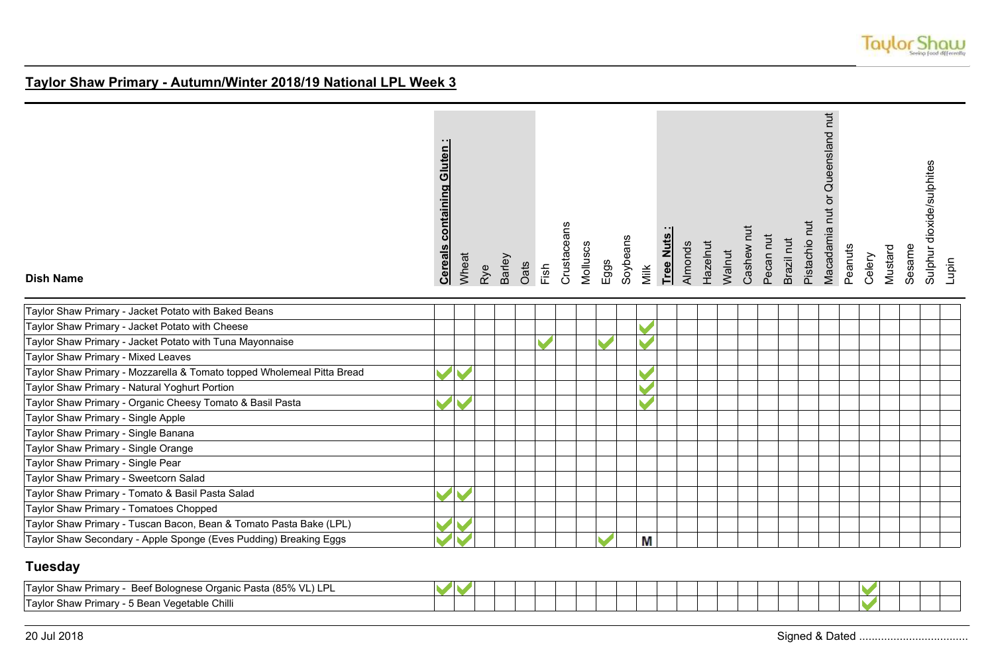

| <b>Dish Name</b>                                                       | <b>Cereals containing Gluten:</b> | Wheat | Rye | Barley<br>Oats | Fish | Crustaceans | Molluscs | Eggs | Soybeans | Milk | Tree Nuts | Almonds | Hazelnut | Walnut | Cashew nut | Pecan nut | Brazil nut | Pistachio nut | Macadamia nut or Queensland nut | Peanuts | Celery | Mustard | Sesame | Sulphur dioxide/sulphites | Lupin |
|------------------------------------------------------------------------|-----------------------------------|-------|-----|----------------|------|-------------|----------|------|----------|------|-----------|---------|----------|--------|------------|-----------|------------|---------------|---------------------------------|---------|--------|---------|--------|---------------------------|-------|
| Taylor Shaw Primary - Jacket Potato with Baked Beans                   |                                   |       |     |                |      |             |          |      |          |      |           |         |          |        |            |           |            |               |                                 |         |        |         |        |                           |       |
| Taylor Shaw Primary - Jacket Potato with Cheese                        |                                   |       |     |                |      |             |          |      |          |      |           |         |          |        |            |           |            |               |                                 |         |        |         |        |                           |       |
| Taylor Shaw Primary - Jacket Potato with Tuna Mayonnaise               |                                   |       |     |                |      |             |          |      |          |      |           |         |          |        |            |           |            |               |                                 |         |        |         |        |                           |       |
| Taylor Shaw Primary - Mixed Leaves                                     |                                   |       |     |                |      |             |          |      |          |      |           |         |          |        |            |           |            |               |                                 |         |        |         |        |                           |       |
| Taylor Shaw Primary - Mozzarella & Tomato topped Wholemeal Pitta Bread |                                   |       |     |                |      |             |          |      |          |      |           |         |          |        |            |           |            |               |                                 |         |        |         |        |                           |       |
| Taylor Shaw Primary - Natural Yoghurt Portion                          |                                   |       |     |                |      |             |          |      |          |      |           |         |          |        |            |           |            |               |                                 |         |        |         |        |                           |       |
| Taylor Shaw Primary - Organic Cheesy Tomato & Basil Pasta              |                                   |       |     |                |      |             |          |      |          |      |           |         |          |        |            |           |            |               |                                 |         |        |         |        |                           |       |
| Taylor Shaw Primary - Single Apple                                     |                                   |       |     |                |      |             |          |      |          |      |           |         |          |        |            |           |            |               |                                 |         |        |         |        |                           |       |
| Taylor Shaw Primary - Single Banana                                    |                                   |       |     |                |      |             |          |      |          |      |           |         |          |        |            |           |            |               |                                 |         |        |         |        |                           |       |
| Taylor Shaw Primary - Single Orange                                    |                                   |       |     |                |      |             |          |      |          |      |           |         |          |        |            |           |            |               |                                 |         |        |         |        |                           |       |
| Taylor Shaw Primary - Single Pear                                      |                                   |       |     |                |      |             |          |      |          |      |           |         |          |        |            |           |            |               |                                 |         |        |         |        |                           |       |
| Taylor Shaw Primary - Sweetcorn Salad                                  |                                   |       |     |                |      |             |          |      |          |      |           |         |          |        |            |           |            |               |                                 |         |        |         |        |                           |       |
| Taylor Shaw Primary - Tomato & Basil Pasta Salad                       |                                   |       |     |                |      |             |          |      |          |      |           |         |          |        |            |           |            |               |                                 |         |        |         |        |                           |       |
| Taylor Shaw Primary - Tomatoes Chopped                                 |                                   |       |     |                |      |             |          |      |          |      |           |         |          |        |            |           |            |               |                                 |         |        |         |        |                           |       |
| Taylor Shaw Primary - Tuscan Bacon, Bean & Tomato Pasta Bake (LPL)     |                                   |       |     |                |      |             |          |      |          |      |           |         |          |        |            |           |            |               |                                 |         |        |         |        |                           |       |
| Taylor Shaw Secondary - Apple Sponge (Eves Pudding) Breaking Eggs      |                                   |       |     |                |      |             |          |      |          | M    |           |         |          |        |            |           |            |               |                                 |         |        |         |        |                           |       |

## **Tuesday**

| D.<br><b>Taylor Shaw Primary -</b><br>`Pasta (85% VL) LP∟<br>f Bolognese Organic<br>Beet: |  |  |  |  |  |  |  |  |  |  |
|-------------------------------------------------------------------------------------------|--|--|--|--|--|--|--|--|--|--|
| n Vegetable Chilli<br>ITaylor √<br>` Bean<br>Shaw Primary -                               |  |  |  |  |  |  |  |  |  |  |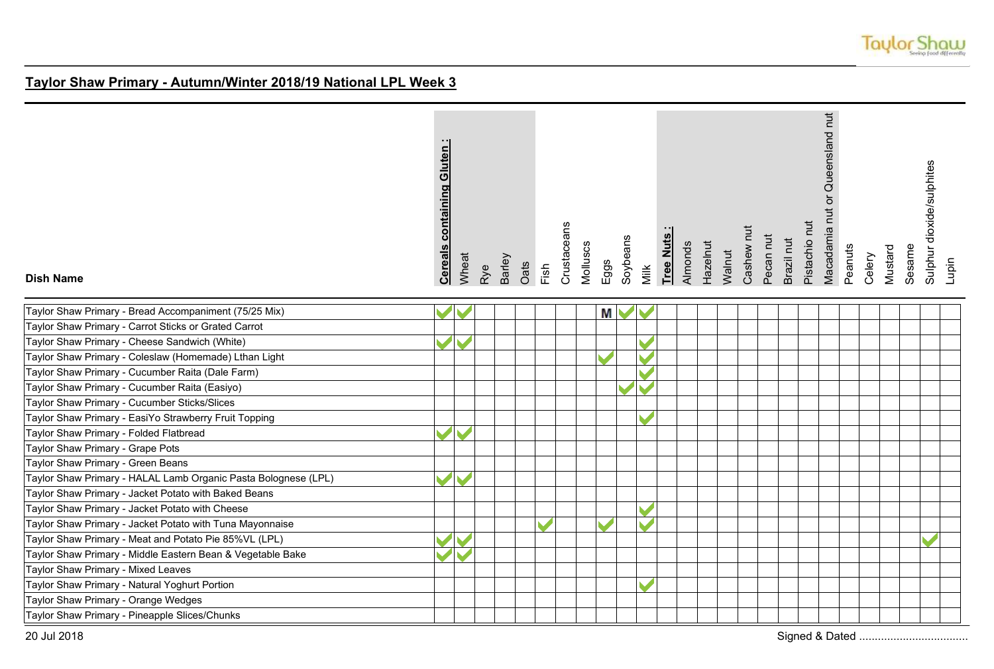

| <b>Dish Name</b>                                               | Gluten<br>containing<br><b>Cereals</b> | Wheat | Rye | <b>Barley</b><br>Oats | Fish | Crustaceans | Molluscs | Eggs | Soybeans  | Milk | Tree Nuts: | <b>Almonds</b> | Hazelnut | Walnut | Cashew nut | Pecan nut | Brazil nut | Pistachio nut | Macadamia nut or Queensland nut | Peanuts | Celery | Mustard | Sesame | Sulphur dioxide/sulphites | Lupin |
|----------------------------------------------------------------|----------------------------------------|-------|-----|-----------------------|------|-------------|----------|------|-----------|------|------------|----------------|----------|--------|------------|-----------|------------|---------------|---------------------------------|---------|--------|---------|--------|---------------------------|-------|
| Taylor Shaw Primary - Bread Accompaniment (75/25 Mix)          |                                        |       |     |                       |      |             |          |      | <b>MV</b> |      |            |                |          |        |            |           |            |               |                                 |         |        |         |        |                           |       |
| Taylor Shaw Primary - Carrot Sticks or Grated Carrot           |                                        |       |     |                       |      |             |          |      |           |      |            |                |          |        |            |           |            |               |                                 |         |        |         |        |                           |       |
| Taylor Shaw Primary - Cheese Sandwich (White)                  |                                        |       |     |                       |      |             |          |      |           |      |            |                |          |        |            |           |            |               |                                 |         |        |         |        |                           |       |
| Taylor Shaw Primary - Coleslaw (Homemade) Lthan Light          |                                        |       |     |                       |      |             |          |      |           |      |            |                |          |        |            |           |            |               |                                 |         |        |         |        |                           |       |
| Taylor Shaw Primary - Cucumber Raita (Dale Farm)               |                                        |       |     |                       |      |             |          |      |           |      |            |                |          |        |            |           |            |               |                                 |         |        |         |        |                           |       |
| Taylor Shaw Primary - Cucumber Raita (Easiyo)                  |                                        |       |     |                       |      |             |          |      |           |      |            |                |          |        |            |           |            |               |                                 |         |        |         |        |                           |       |
| Taylor Shaw Primary - Cucumber Sticks/Slices                   |                                        |       |     |                       |      |             |          |      |           |      |            |                |          |        |            |           |            |               |                                 |         |        |         |        |                           |       |
| Taylor Shaw Primary - EasiYo Strawberry Fruit Topping          |                                        |       |     |                       |      |             |          |      |           |      |            |                |          |        |            |           |            |               |                                 |         |        |         |        |                           |       |
| Taylor Shaw Primary - Folded Flatbread                         |                                        |       |     |                       |      |             |          |      |           |      |            |                |          |        |            |           |            |               |                                 |         |        |         |        |                           |       |
| Taylor Shaw Primary - Grape Pots                               |                                        |       |     |                       |      |             |          |      |           |      |            |                |          |        |            |           |            |               |                                 |         |        |         |        |                           |       |
| Taylor Shaw Primary - Green Beans                              |                                        |       |     |                       |      |             |          |      |           |      |            |                |          |        |            |           |            |               |                                 |         |        |         |        |                           |       |
| Taylor Shaw Primary - HALAL Lamb Organic Pasta Bolognese (LPL) |                                        |       |     |                       |      |             |          |      |           |      |            |                |          |        |            |           |            |               |                                 |         |        |         |        |                           |       |
| Taylor Shaw Primary - Jacket Potato with Baked Beans           |                                        |       |     |                       |      |             |          |      |           |      |            |                |          |        |            |           |            |               |                                 |         |        |         |        |                           |       |
| Taylor Shaw Primary - Jacket Potato with Cheese                |                                        |       |     |                       |      |             |          |      |           |      |            |                |          |        |            |           |            |               |                                 |         |        |         |        |                           |       |
| Taylor Shaw Primary - Jacket Potato with Tuna Mayonnaise       |                                        |       |     |                       |      |             |          |      |           |      |            |                |          |        |            |           |            |               |                                 |         |        |         |        |                           |       |
| Taylor Shaw Primary - Meat and Potato Pie 85%VL (LPL)          |                                        |       |     |                       |      |             |          |      |           |      |            |                |          |        |            |           |            |               |                                 |         |        |         |        |                           |       |
| Taylor Shaw Primary - Middle Eastern Bean & Vegetable Bake     |                                        |       |     |                       |      |             |          |      |           |      |            |                |          |        |            |           |            |               |                                 |         |        |         |        |                           |       |
| Taylor Shaw Primary - Mixed Leaves                             |                                        |       |     |                       |      |             |          |      |           |      |            |                |          |        |            |           |            |               |                                 |         |        |         |        |                           |       |
| Taylor Shaw Primary - Natural Yoghurt Portion                  |                                        |       |     |                       |      |             |          |      |           |      |            |                |          |        |            |           |            |               |                                 |         |        |         |        |                           |       |
| Taylor Shaw Primary - Orange Wedges                            |                                        |       |     |                       |      |             |          |      |           |      |            |                |          |        |            |           |            |               |                                 |         |        |         |        |                           |       |
| Taylor Shaw Primary - Pineapple Slices/Chunks                  |                                        |       |     |                       |      |             |          |      |           |      |            |                |          |        |            |           |            |               |                                 |         |        |         |        |                           |       |
| 20 Jul 2018                                                    |                                        |       |     |                       |      |             |          |      |           |      |            |                |          |        |            |           |            |               |                                 |         |        |         |        |                           |       |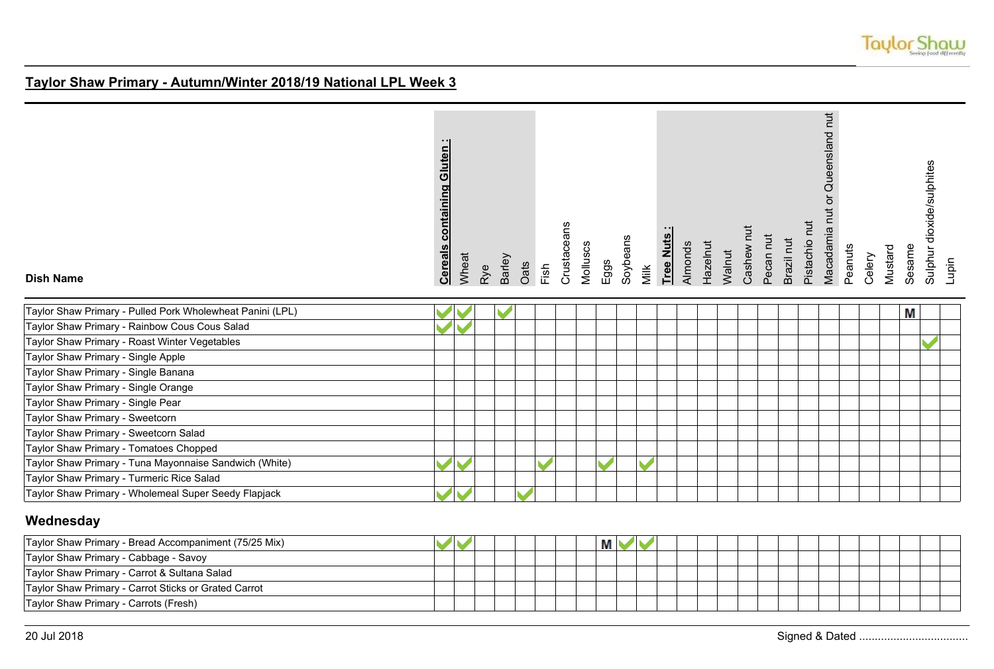

| <b>Dish Name</b>                                          | <b>containing Gluten:</b><br><b>Cereals</b> | Wheat | Rye | Barley | Oats | Fish | Crustaceans | Molluscs | Eggs      | Soybeans | Milk | Tree Nuts | Almonds | Hazelnut | Walnut | Cashew nut | Pecan nut | Brazil nut | Pistachio nut | Macadamia nut or Queensland nut | Peanuts | Celery | Mustard | Sesame | Sulphur dioxide/sulphites | Lupin |
|-----------------------------------------------------------|---------------------------------------------|-------|-----|--------|------|------|-------------|----------|-----------|----------|------|-----------|---------|----------|--------|------------|-----------|------------|---------------|---------------------------------|---------|--------|---------|--------|---------------------------|-------|
| Taylor Shaw Primary - Pulled Pork Wholewheat Panini (LPL) |                                             |       |     |        |      |      |             |          |           |          |      |           |         |          |        |            |           |            |               |                                 |         |        |         | Μ      |                           |       |
| Taylor Shaw Primary - Rainbow Cous Cous Salad             |                                             |       |     |        |      |      |             |          |           |          |      |           |         |          |        |            |           |            |               |                                 |         |        |         |        |                           |       |
| Taylor Shaw Primary - Roast Winter Vegetables             |                                             |       |     |        |      |      |             |          |           |          |      |           |         |          |        |            |           |            |               |                                 |         |        |         |        |                           |       |
| Taylor Shaw Primary - Single Apple                        |                                             |       |     |        |      |      |             |          |           |          |      |           |         |          |        |            |           |            |               |                                 |         |        |         |        |                           |       |
| Taylor Shaw Primary - Single Banana                       |                                             |       |     |        |      |      |             |          |           |          |      |           |         |          |        |            |           |            |               |                                 |         |        |         |        |                           |       |
| Taylor Shaw Primary - Single Orange                       |                                             |       |     |        |      |      |             |          |           |          |      |           |         |          |        |            |           |            |               |                                 |         |        |         |        |                           |       |
| Taylor Shaw Primary - Single Pear                         |                                             |       |     |        |      |      |             |          |           |          |      |           |         |          |        |            |           |            |               |                                 |         |        |         |        |                           |       |
| Taylor Shaw Primary - Sweetcorn                           |                                             |       |     |        |      |      |             |          |           |          |      |           |         |          |        |            |           |            |               |                                 |         |        |         |        |                           |       |
| Taylor Shaw Primary - Sweetcorn Salad                     |                                             |       |     |        |      |      |             |          |           |          |      |           |         |          |        |            |           |            |               |                                 |         |        |         |        |                           |       |
| Taylor Shaw Primary - Tomatoes Chopped                    |                                             |       |     |        |      |      |             |          |           |          |      |           |         |          |        |            |           |            |               |                                 |         |        |         |        |                           |       |
| Taylor Shaw Primary - Tuna Mayonnaise Sandwich (White)    |                                             |       |     |        |      |      |             |          | <b>SI</b> |          |      |           |         |          |        |            |           |            |               |                                 |         |        |         |        |                           |       |
| Taylor Shaw Primary - Turmeric Rice Salad                 |                                             |       |     |        |      |      |             |          |           |          |      |           |         |          |        |            |           |            |               |                                 |         |        |         |        |                           |       |
| Taylor Shaw Primary - Wholemeal Super Seedy Flapjack      |                                             |       |     |        |      |      |             |          |           |          |      |           |         |          |        |            |           |            |               |                                 |         |        |         |        |                           |       |
| Wednesday                                                 |                                             |       |     |        |      |      |             |          |           |          |      |           |         |          |        |            |           |            |               |                                 |         |        |         |        |                           |       |
| Taylor Shaw Primary - Bread Accompaniment (75/25 Mix)     |                                             |       |     |        |      |      |             |          | M         | V        |      |           |         |          |        |            |           |            |               |                                 |         |        |         |        |                           |       |
| Taylor Shaw Primary - Cabbage - Savoy                     |                                             |       |     |        |      |      |             |          |           |          |      |           |         |          |        |            |           |            |               |                                 |         |        |         |        |                           |       |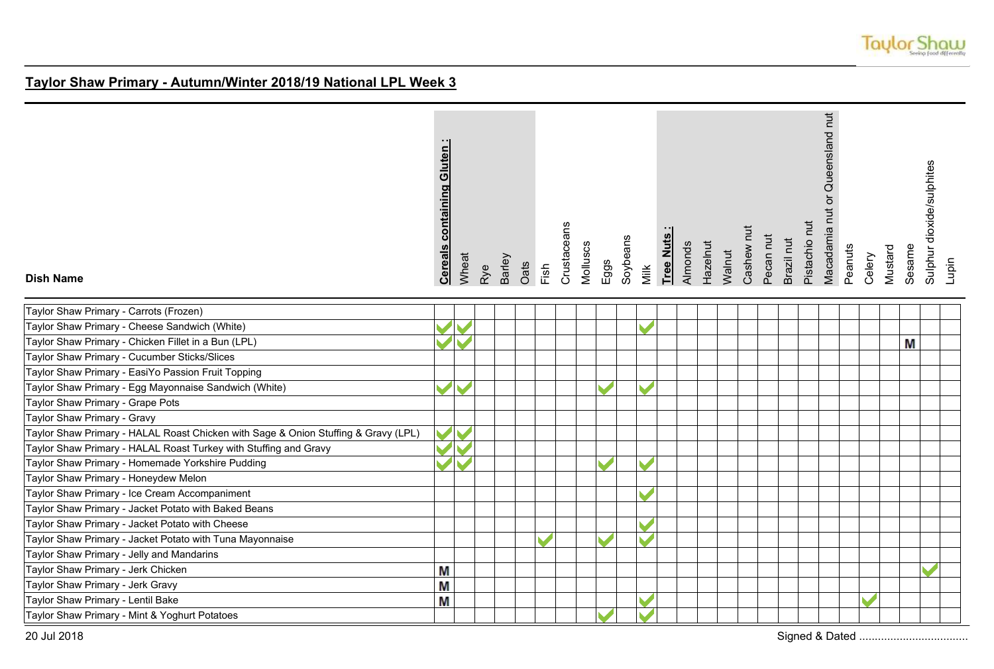

| <b>Dish Name</b>                                                                   | <b>Cereals containing Gluten</b> | Wheat                 | Rye | Barley | Oats | Fish | Crustaceans | Molluscs | Eggs | Soybeans | Milk | Tree Nuts | Almonds | Hazelnut | Walnut | Cashew nut | Pecan nut | Brazil nut | Pistachio nut | Macadamia nut or Queensland nut | Peanuts | Celery | Mustard | Sesame | Sulphur dioxide/sulphites | Lupin |
|------------------------------------------------------------------------------------|----------------------------------|-----------------------|-----|--------|------|------|-------------|----------|------|----------|------|-----------|---------|----------|--------|------------|-----------|------------|---------------|---------------------------------|---------|--------|---------|--------|---------------------------|-------|
| Taylor Shaw Primary - Carrots (Frozen)                                             |                                  |                       |     |        |      |      |             |          |      |          |      |           |         |          |        |            |           |            |               |                                 |         |        |         |        |                           |       |
| Taylor Shaw Primary - Cheese Sandwich (White)                                      |                                  |                       |     |        |      |      |             |          |      |          |      |           |         |          |        |            |           |            |               |                                 |         |        |         |        |                           |       |
| Taylor Shaw Primary - Chicken Fillet in a Bun (LPL)                                | $\blacktriangledown$             |                       |     |        |      |      |             |          |      |          |      |           |         |          |        |            |           |            |               |                                 |         |        |         | M      |                           |       |
| Taylor Shaw Primary - Cucumber Sticks/Slices                                       |                                  |                       |     |        |      |      |             |          |      |          |      |           |         |          |        |            |           |            |               |                                 |         |        |         |        |                           |       |
| Taylor Shaw Primary - EasiYo Passion Fruit Topping                                 |                                  |                       |     |        |      |      |             |          |      |          |      |           |         |          |        |            |           |            |               |                                 |         |        |         |        |                           |       |
| Taylor Shaw Primary - Egg Mayonnaise Sandwich (White)                              | $\blacktriangledown$             |                       |     |        |      |      |             |          |      |          |      |           |         |          |        |            |           |            |               |                                 |         |        |         |        |                           |       |
| Taylor Shaw Primary - Grape Pots                                                   |                                  |                       |     |        |      |      |             |          |      |          |      |           |         |          |        |            |           |            |               |                                 |         |        |         |        |                           |       |
| Taylor Shaw Primary - Gravy                                                        |                                  |                       |     |        |      |      |             |          |      |          |      |           |         |          |        |            |           |            |               |                                 |         |        |         |        |                           |       |
| Taylor Shaw Primary - HALAL Roast Chicken with Sage & Onion Stuffing & Gravy (LPL) | $\blacktriangledown$             | $\blacktriangleright$ |     |        |      |      |             |          |      |          |      |           |         |          |        |            |           |            |               |                                 |         |        |         |        |                           |       |
| Taylor Shaw Primary - HALAL Roast Turkey with Stuffing and Gravy                   |                                  |                       |     |        |      |      |             |          |      |          |      |           |         |          |        |            |           |            |               |                                 |         |        |         |        |                           |       |
| Taylor Shaw Primary - Homemade Yorkshire Pudding                                   |                                  | $\blacktriangleright$ |     |        |      |      |             |          |      |          |      |           |         |          |        |            |           |            |               |                                 |         |        |         |        |                           |       |
| Taylor Shaw Primary - Honeydew Melon                                               |                                  |                       |     |        |      |      |             |          |      |          |      |           |         |          |        |            |           |            |               |                                 |         |        |         |        |                           |       |
| Taylor Shaw Primary - Ice Cream Accompaniment                                      |                                  |                       |     |        |      |      |             |          |      |          |      |           |         |          |        |            |           |            |               |                                 |         |        |         |        |                           |       |
| Taylor Shaw Primary - Jacket Potato with Baked Beans                               |                                  |                       |     |        |      |      |             |          |      |          |      |           |         |          |        |            |           |            |               |                                 |         |        |         |        |                           |       |
| Taylor Shaw Primary - Jacket Potato with Cheese                                    |                                  |                       |     |        |      |      |             |          |      |          |      |           |         |          |        |            |           |            |               |                                 |         |        |         |        |                           |       |
| Taylor Shaw Primary - Jacket Potato with Tuna Mayonnaise                           |                                  |                       |     |        |      |      |             |          |      |          |      |           |         |          |        |            |           |            |               |                                 |         |        |         |        |                           |       |
| Taylor Shaw Primary - Jelly and Mandarins                                          |                                  |                       |     |        |      |      |             |          |      |          |      |           |         |          |        |            |           |            |               |                                 |         |        |         |        |                           |       |
| Taylor Shaw Primary - Jerk Chicken                                                 | M                                |                       |     |        |      |      |             |          |      |          |      |           |         |          |        |            |           |            |               |                                 |         |        |         |        |                           |       |
| Taylor Shaw Primary - Jerk Gravy                                                   | M                                |                       |     |        |      |      |             |          |      |          |      |           |         |          |        |            |           |            |               |                                 |         |        |         |        |                           |       |
| Taylor Shaw Primary - Lentil Bake                                                  | М                                |                       |     |        |      |      |             |          |      |          |      |           |         |          |        |            |           |            |               |                                 |         |        |         |        |                           |       |
| Taylor Shaw Primary - Mint & Yoghurt Potatoes                                      |                                  |                       |     |        |      |      |             |          |      |          |      |           |         |          |        |            |           |            |               |                                 |         |        |         |        |                           |       |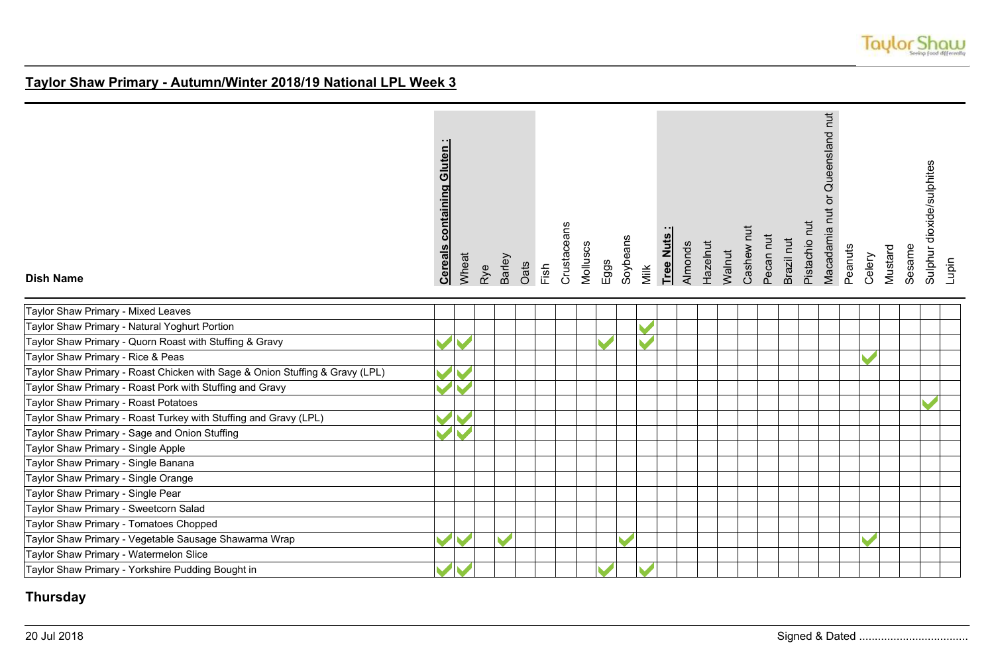

| <b>Dish Name</b>                                                             | Cereals containing Gluten: | Wheat | Rye | <b>Barley</b> | Oats | Fish | Crustaceans | Molluscs | $E$ ggs | Soybeans | Milk | Tree Nuts | Almonds | Hazelnut | Walnut | Cashew nut | Pecan nut | Brazil nut | Pistachio nut | Macadamia nut or Queensland nut | Peanuts | Celery | Mustard | Sulphur dioxide/sulphites<br>Sesame | Lupin |
|------------------------------------------------------------------------------|----------------------------|-------|-----|---------------|------|------|-------------|----------|---------|----------|------|-----------|---------|----------|--------|------------|-----------|------------|---------------|---------------------------------|---------|--------|---------|-------------------------------------|-------|
| Taylor Shaw Primary - Mixed Leaves                                           |                            |       |     |               |      |      |             |          |         |          |      |           |         |          |        |            |           |            |               |                                 |         |        |         |                                     |       |
| Taylor Shaw Primary - Natural Yoghurt Portion                                |                            |       |     |               |      |      |             |          |         |          |      |           |         |          |        |            |           |            |               |                                 |         |        |         |                                     |       |
| Taylor Shaw Primary - Quorn Roast with Stuffing & Gravy                      |                            |       |     |               |      |      |             |          |         |          |      |           |         |          |        |            |           |            |               |                                 |         |        |         |                                     |       |
| Taylor Shaw Primary - Rice & Peas                                            |                            |       |     |               |      |      |             |          |         |          |      |           |         |          |        |            |           |            |               |                                 |         |        |         |                                     |       |
| Taylor Shaw Primary - Roast Chicken with Sage & Onion Stuffing & Gravy (LPL) |                            |       |     |               |      |      |             |          |         |          |      |           |         |          |        |            |           |            |               |                                 |         |        |         |                                     |       |
| Taylor Shaw Primary - Roast Pork with Stuffing and Gravy                     |                            |       |     |               |      |      |             |          |         |          |      |           |         |          |        |            |           |            |               |                                 |         |        |         |                                     |       |
| Taylor Shaw Primary - Roast Potatoes                                         |                            |       |     |               |      |      |             |          |         |          |      |           |         |          |        |            |           |            |               |                                 |         |        |         |                                     |       |
| Taylor Shaw Primary - Roast Turkey with Stuffing and Gravy (LPL)             |                            |       |     |               |      |      |             |          |         |          |      |           |         |          |        |            |           |            |               |                                 |         |        |         |                                     |       |
| Taylor Shaw Primary - Sage and Onion Stuffing                                |                            |       |     |               |      |      |             |          |         |          |      |           |         |          |        |            |           |            |               |                                 |         |        |         |                                     |       |
| Taylor Shaw Primary - Single Apple                                           |                            |       |     |               |      |      |             |          |         |          |      |           |         |          |        |            |           |            |               |                                 |         |        |         |                                     |       |
| Taylor Shaw Primary - Single Banana                                          |                            |       |     |               |      |      |             |          |         |          |      |           |         |          |        |            |           |            |               |                                 |         |        |         |                                     |       |
| Taylor Shaw Primary - Single Orange                                          |                            |       |     |               |      |      |             |          |         |          |      |           |         |          |        |            |           |            |               |                                 |         |        |         |                                     |       |
| Taylor Shaw Primary - Single Pear                                            |                            |       |     |               |      |      |             |          |         |          |      |           |         |          |        |            |           |            |               |                                 |         |        |         |                                     |       |
| Taylor Shaw Primary - Sweetcorn Salad                                        |                            |       |     |               |      |      |             |          |         |          |      |           |         |          |        |            |           |            |               |                                 |         |        |         |                                     |       |
| Taylor Shaw Primary - Tomatoes Chopped                                       |                            |       |     |               |      |      |             |          |         |          |      |           |         |          |        |            |           |            |               |                                 |         |        |         |                                     |       |
| Taylor Shaw Primary - Vegetable Sausage Shawarma Wrap                        |                            |       |     |               |      |      |             |          |         |          |      |           |         |          |        |            |           |            |               |                                 |         |        |         |                                     |       |
| Taylor Shaw Primary - Watermelon Slice                                       |                            |       |     |               |      |      |             |          |         |          |      |           |         |          |        |            |           |            |               |                                 |         |        |         |                                     |       |
| Taylor Shaw Primary - Yorkshire Pudding Bought in                            |                            |       |     |               |      |      |             |          |         |          |      |           |         |          |        |            |           |            |               |                                 |         |        |         |                                     |       |

## **Thursday**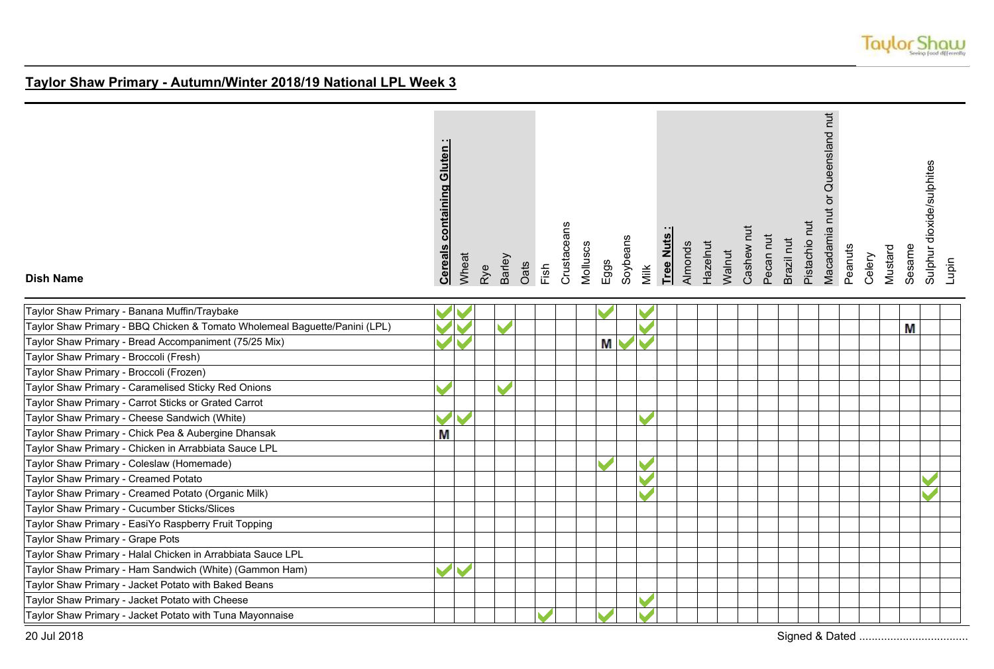

| <b>Dish Name</b>                                                           | <b>Cereals containing Gluten:</b> | Wheat | Rye | Barley | Oats | Fish                     | Crustaceans | Molluscs | Eggs          | Soybeans | Milk | Tree Nuts | Almonds | Hazelnut | Walnut | Cashew nut | Pecan nut | Brazil nut | Pistachio nut | Macadamia nut or Queensland nut | Peanuts | Celery | Mustard | Sesame | Sulphur dioxide/sulphites | Lupin |
|----------------------------------------------------------------------------|-----------------------------------|-------|-----|--------|------|--------------------------|-------------|----------|---------------|----------|------|-----------|---------|----------|--------|------------|-----------|------------|---------------|---------------------------------|---------|--------|---------|--------|---------------------------|-------|
| Taylor Shaw Primary - Banana Muffin/Traybake                               |                                   |       |     |        |      |                          |             |          |               |          |      |           |         |          |        |            |           |            |               |                                 |         |        |         |        |                           |       |
| Taylor Shaw Primary - BBQ Chicken & Tomato Wholemeal Baguette/Panini (LPL) |                                   |       |     |        |      |                          |             |          |               |          |      |           |         |          |        |            |           |            |               |                                 |         |        |         | М      |                           |       |
| Taylor Shaw Primary - Bread Accompaniment (75/25 Mix)                      |                                   |       |     |        |      |                          |             |          | Μ             |          |      |           |         |          |        |            |           |            |               |                                 |         |        |         |        |                           |       |
| Taylor Shaw Primary - Broccoli (Fresh)                                     |                                   |       |     |        |      |                          |             |          |               |          |      |           |         |          |        |            |           |            |               |                                 |         |        |         |        |                           |       |
| Taylor Shaw Primary - Broccoli (Frozen)                                    |                                   |       |     |        |      |                          |             |          |               |          |      |           |         |          |        |            |           |            |               |                                 |         |        |         |        |                           |       |
| Taylor Shaw Primary - Caramelised Sticky Red Onions                        |                                   |       |     |        |      |                          |             |          |               |          |      |           |         |          |        |            |           |            |               |                                 |         |        |         |        |                           |       |
| Taylor Shaw Primary - Carrot Sticks or Grated Carrot                       |                                   |       |     |        |      |                          |             |          |               |          |      |           |         |          |        |            |           |            |               |                                 |         |        |         |        |                           |       |
| Taylor Shaw Primary - Cheese Sandwich (White)                              |                                   |       |     |        |      |                          |             |          |               |          |      |           |         |          |        |            |           |            |               |                                 |         |        |         |        |                           |       |
| Taylor Shaw Primary - Chick Pea & Aubergine Dhansak                        | М                                 |       |     |        |      |                          |             |          |               |          |      |           |         |          |        |            |           |            |               |                                 |         |        |         |        |                           |       |
| Taylor Shaw Primary - Chicken in Arrabbiata Sauce LPL                      |                                   |       |     |        |      |                          |             |          |               |          |      |           |         |          |        |            |           |            |               |                                 |         |        |         |        |                           |       |
| Taylor Shaw Primary - Coleslaw (Homemade)                                  |                                   |       |     |        |      |                          |             |          |               |          |      |           |         |          |        |            |           |            |               |                                 |         |        |         |        |                           |       |
| Taylor Shaw Primary - Creamed Potato                                       |                                   |       |     |        |      |                          |             |          |               |          |      |           |         |          |        |            |           |            |               |                                 |         |        |         |        |                           |       |
| Taylor Shaw Primary - Creamed Potato (Organic Milk)                        |                                   |       |     |        |      |                          |             |          |               |          |      |           |         |          |        |            |           |            |               |                                 |         |        |         |        |                           |       |
| Taylor Shaw Primary - Cucumber Sticks/Slices                               |                                   |       |     |        |      |                          |             |          |               |          |      |           |         |          |        |            |           |            |               |                                 |         |        |         |        |                           |       |
| Taylor Shaw Primary - EasiYo Raspberry Fruit Topping                       |                                   |       |     |        |      |                          |             |          |               |          |      |           |         |          |        |            |           |            |               |                                 |         |        |         |        |                           |       |
| Taylor Shaw Primary - Grape Pots                                           |                                   |       |     |        |      |                          |             |          |               |          |      |           |         |          |        |            |           |            |               |                                 |         |        |         |        |                           |       |
| Taylor Shaw Primary - Halal Chicken in Arrabbiata Sauce LPL                |                                   |       |     |        |      |                          |             |          |               |          |      |           |         |          |        |            |           |            |               |                                 |         |        |         |        |                           |       |
| Taylor Shaw Primary - Ham Sandwich (White) (Gammon Ham)                    |                                   |       |     |        |      |                          |             |          |               |          |      |           |         |          |        |            |           |            |               |                                 |         |        |         |        |                           |       |
| Taylor Shaw Primary - Jacket Potato with Baked Beans                       |                                   |       |     |        |      |                          |             |          |               |          |      |           |         |          |        |            |           |            |               |                                 |         |        |         |        |                           |       |
| Taylor Shaw Primary - Jacket Potato with Cheese                            |                                   |       |     |        |      |                          |             |          |               |          |      |           |         |          |        |            |           |            |               |                                 |         |        |         |        |                           |       |
| Taylor Shaw Primary - Jacket Potato with Tuna Mayonnaise                   |                                   |       |     |        |      | $\overline{\phantom{a}}$ |             |          | $\mathcal{L}$ |          |      |           |         |          |        |            |           |            |               |                                 |         |        |         |        |                           |       |

20 Jul 2018 Signed & Dated ...................................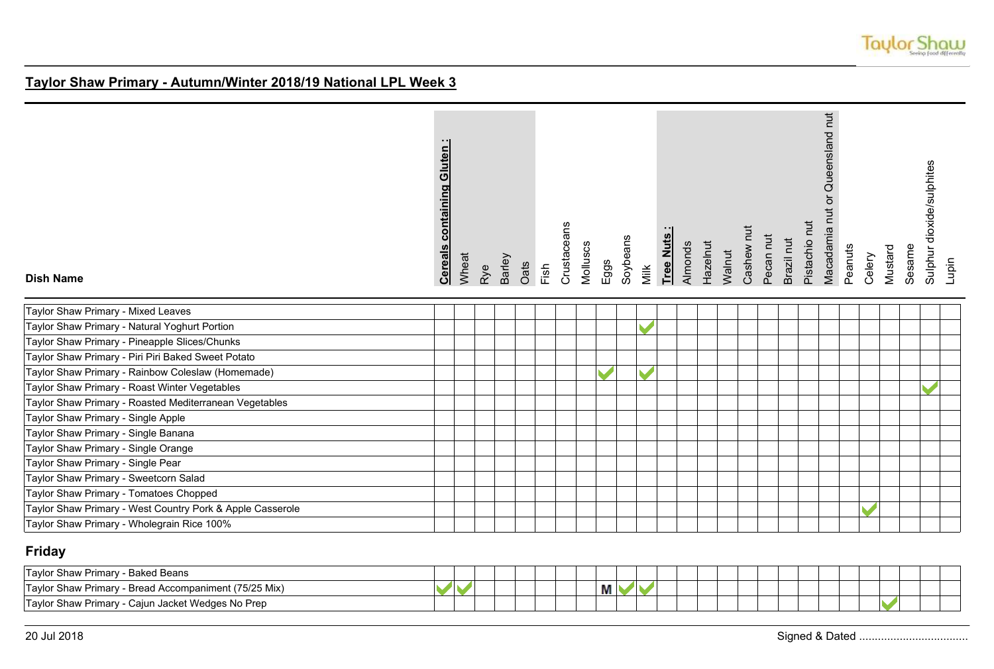

| <b>Dish Name</b>                                          | <b>Cereals containing Gluten:</b> | Wheat | Rye | <b>Barley</b><br>Oats | Fish | Crustaceans | Molluscs | $E$ ggs       | Soybeans | Milk | Tree Nuts | Almonds | Hazelnut | Walnut | Cashew nut | Pecan nut | Brazil nut | Pistachio nut | Macadamia nut or Queensland nut | Peanuts | Celery | Mustard | Sesame | Sulphur dioxide/sulphites<br>Lupin |  |
|-----------------------------------------------------------|-----------------------------------|-------|-----|-----------------------|------|-------------|----------|---------------|----------|------|-----------|---------|----------|--------|------------|-----------|------------|---------------|---------------------------------|---------|--------|---------|--------|------------------------------------|--|
| Taylor Shaw Primary - Mixed Leaves                        |                                   |       |     |                       |      |             |          |               |          |      |           |         |          |        |            |           |            |               |                                 |         |        |         |        |                                    |  |
| Taylor Shaw Primary - Natural Yoghurt Portion             |                                   |       |     |                       |      |             |          |               |          |      |           |         |          |        |            |           |            |               |                                 |         |        |         |        |                                    |  |
| Taylor Shaw Primary - Pineapple Slices/Chunks             |                                   |       |     |                       |      |             |          |               |          |      |           |         |          |        |            |           |            |               |                                 |         |        |         |        |                                    |  |
| Taylor Shaw Primary - Piri Piri Baked Sweet Potato        |                                   |       |     |                       |      |             |          |               |          |      |           |         |          |        |            |           |            |               |                                 |         |        |         |        |                                    |  |
| Taylor Shaw Primary - Rainbow Coleslaw (Homemade)         |                                   |       |     |                       |      |             |          | $\mathcal{L}$ |          |      |           |         |          |        |            |           |            |               |                                 |         |        |         |        |                                    |  |
| Taylor Shaw Primary - Roast Winter Vegetables             |                                   |       |     |                       |      |             |          |               |          |      |           |         |          |        |            |           |            |               |                                 |         |        |         |        |                                    |  |
| Taylor Shaw Primary - Roasted Mediterranean Vegetables    |                                   |       |     |                       |      |             |          |               |          |      |           |         |          |        |            |           |            |               |                                 |         |        |         |        |                                    |  |
| Taylor Shaw Primary - Single Apple                        |                                   |       |     |                       |      |             |          |               |          |      |           |         |          |        |            |           |            |               |                                 |         |        |         |        |                                    |  |
| Taylor Shaw Primary - Single Banana                       |                                   |       |     |                       |      |             |          |               |          |      |           |         |          |        |            |           |            |               |                                 |         |        |         |        |                                    |  |
| Taylor Shaw Primary - Single Orange                       |                                   |       |     |                       |      |             |          |               |          |      |           |         |          |        |            |           |            |               |                                 |         |        |         |        |                                    |  |
| Taylor Shaw Primary - Single Pear                         |                                   |       |     |                       |      |             |          |               |          |      |           |         |          |        |            |           |            |               |                                 |         |        |         |        |                                    |  |
| Taylor Shaw Primary - Sweetcorn Salad                     |                                   |       |     |                       |      |             |          |               |          |      |           |         |          |        |            |           |            |               |                                 |         |        |         |        |                                    |  |
| Taylor Shaw Primary - Tomatoes Chopped                    |                                   |       |     |                       |      |             |          |               |          |      |           |         |          |        |            |           |            |               |                                 |         |        |         |        |                                    |  |
| Taylor Shaw Primary - West Country Pork & Apple Casserole |                                   |       |     |                       |      |             |          |               |          |      |           |         |          |        |            |           |            |               |                                 |         |        |         |        |                                    |  |
| Taylor Shaw Primary - Wholegrain Rice 100%                |                                   |       |     |                       |      |             |          |               |          |      |           |         |          |        |            |           |            |               |                                 |         |        |         |        |                                    |  |

## **Friday**

| - Baked Beans<br>≅ Shaw Primary -<br>l avlor                    |  |  |  |  |   |  |  |  |  |  |  |  |  |
|-----------------------------------------------------------------|--|--|--|--|---|--|--|--|--|--|--|--|--|
| - Bread Accompaniment (75/25 Mix)<br>r Shaw Primary -<br>Tavlor |  |  |  |  | М |  |  |  |  |  |  |  |  |
| Cajun Jacket Wedges No Prep<br>Shaw Primary -<br>Tavlor         |  |  |  |  |   |  |  |  |  |  |  |  |  |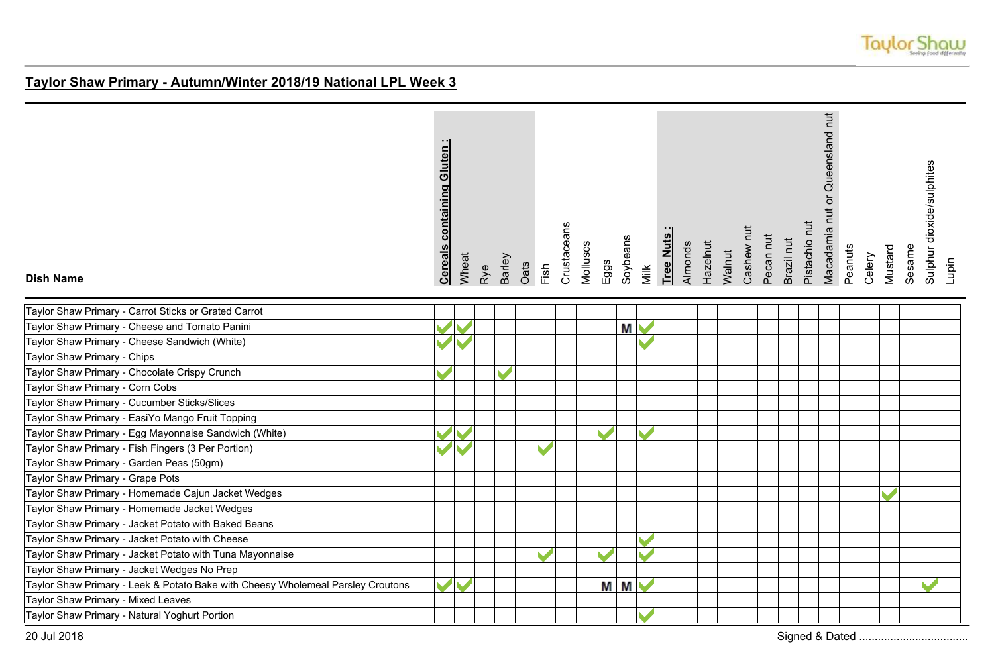

| <b>Dish Name</b>                                                                | containing Gluten<br><b>Cereals</b> | Wheat | Rye | Barley | Oats | Fish | Crustaceans | Molluscs | Eggs | Soybeans | Milk | Tree Nuts: | Almonds | Hazelnut | Walnut | Cashew nut | Pecan nut | Brazil nut | Pistachio nut | Macadamia nut or Queensland nut | Peanuts | Celery | Mustard | Sesame | Sulphur dioxide/sulphites | Lupin |
|---------------------------------------------------------------------------------|-------------------------------------|-------|-----|--------|------|------|-------------|----------|------|----------|------|------------|---------|----------|--------|------------|-----------|------------|---------------|---------------------------------|---------|--------|---------|--------|---------------------------|-------|
| Taylor Shaw Primary - Carrot Sticks or Grated Carrot                            |                                     |       |     |        |      |      |             |          |      |          |      |            |         |          |        |            |           |            |               |                                 |         |        |         |        |                           |       |
| Taylor Shaw Primary - Cheese and Tomato Panini                                  |                                     |       |     |        |      |      |             |          |      | М        |      |            |         |          |        |            |           |            |               |                                 |         |        |         |        |                           |       |
| Taylor Shaw Primary - Cheese Sandwich (White)                                   |                                     |       |     |        |      |      |             |          |      |          |      |            |         |          |        |            |           |            |               |                                 |         |        |         |        |                           |       |
| Taylor Shaw Primary - Chips                                                     |                                     |       |     |        |      |      |             |          |      |          |      |            |         |          |        |            |           |            |               |                                 |         |        |         |        |                           |       |
| Taylor Shaw Primary - Chocolate Crispy Crunch                                   |                                     |       |     |        |      |      |             |          |      |          |      |            |         |          |        |            |           |            |               |                                 |         |        |         |        |                           |       |
| Taylor Shaw Primary - Corn Cobs                                                 |                                     |       |     |        |      |      |             |          |      |          |      |            |         |          |        |            |           |            |               |                                 |         |        |         |        |                           |       |
| Taylor Shaw Primary - Cucumber Sticks/Slices                                    |                                     |       |     |        |      |      |             |          |      |          |      |            |         |          |        |            |           |            |               |                                 |         |        |         |        |                           |       |
| Taylor Shaw Primary - EasiYo Mango Fruit Topping                                |                                     |       |     |        |      |      |             |          |      |          |      |            |         |          |        |            |           |            |               |                                 |         |        |         |        |                           |       |
| Taylor Shaw Primary - Egg Mayonnaise Sandwich (White)                           |                                     |       |     |        |      |      |             |          |      |          |      |            |         |          |        |            |           |            |               |                                 |         |        |         |        |                           |       |
| Taylor Shaw Primary - Fish Fingers (3 Per Portion)                              |                                     |       |     |        |      |      |             |          |      |          |      |            |         |          |        |            |           |            |               |                                 |         |        |         |        |                           |       |
| Taylor Shaw Primary - Garden Peas (50gm)                                        |                                     |       |     |        |      |      |             |          |      |          |      |            |         |          |        |            |           |            |               |                                 |         |        |         |        |                           |       |
| Taylor Shaw Primary - Grape Pots                                                |                                     |       |     |        |      |      |             |          |      |          |      |            |         |          |        |            |           |            |               |                                 |         |        |         |        |                           |       |
| Taylor Shaw Primary - Homemade Cajun Jacket Wedges                              |                                     |       |     |        |      |      |             |          |      |          |      |            |         |          |        |            |           |            |               |                                 |         |        |         |        |                           |       |
| Taylor Shaw Primary - Homemade Jacket Wedges                                    |                                     |       |     |        |      |      |             |          |      |          |      |            |         |          |        |            |           |            |               |                                 |         |        |         |        |                           |       |
| Taylor Shaw Primary - Jacket Potato with Baked Beans                            |                                     |       |     |        |      |      |             |          |      |          |      |            |         |          |        |            |           |            |               |                                 |         |        |         |        |                           |       |
| Taylor Shaw Primary - Jacket Potato with Cheese                                 |                                     |       |     |        |      |      |             |          |      |          |      |            |         |          |        |            |           |            |               |                                 |         |        |         |        |                           |       |
| Taylor Shaw Primary - Jacket Potato with Tuna Mayonnaise                        |                                     |       |     |        |      |      |             |          |      |          |      |            |         |          |        |            |           |            |               |                                 |         |        |         |        |                           |       |
| Taylor Shaw Primary - Jacket Wedges No Prep                                     |                                     |       |     |        |      |      |             |          |      |          |      |            |         |          |        |            |           |            |               |                                 |         |        |         |        |                           |       |
| Taylor Shaw Primary - Leek & Potato Bake with Cheesy Wholemeal Parsley Croutons |                                     |       |     |        |      |      |             |          |      | M M      |      |            |         |          |        |            |           |            |               |                                 |         |        |         |        |                           |       |
| Taylor Shaw Primary - Mixed Leaves                                              |                                     |       |     |        |      |      |             |          |      |          |      |            |         |          |        |            |           |            |               |                                 |         |        |         |        |                           |       |
| Taylor Shaw Primary - Natural Yoghurt Portion                                   |                                     |       |     |        |      |      |             |          |      |          |      |            |         |          |        |            |           |            |               |                                 |         |        |         |        |                           |       |
| 20 Jul 2018                                                                     |                                     |       |     |        |      |      |             |          |      |          |      |            |         |          |        |            |           |            |               |                                 |         |        |         |        |                           |       |